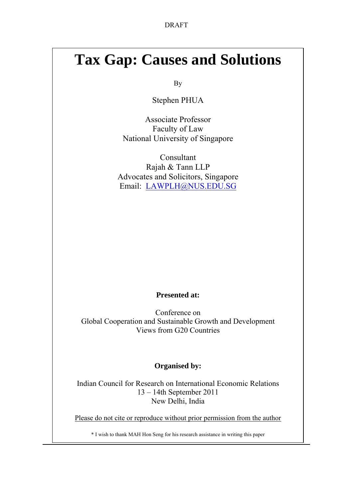# **Tax Gap: Causes and Solutions**

By

Stephen PHUA

Associate Professor Faculty of Law National University of Singapore

Consultant Rajah & Tann LLP Advocates and Solicitors, Singapore Email: [LAWPLH@NUS.EDU.SG](mailto:LAWPLH@NUS.EDU.SG)

## **Presented at:**

Conference on Global Cooperation and Sustainable Growth and Development Views from G20 Countries

## **Organised by:**

Indian Council for Research on International Economic Relations 13 – 14th September 2011 New Delhi, India

Please do not cite or reproduce without prior permission from the author

\* I wish to thank MAH Hon Seng for his research assistance in writing this paper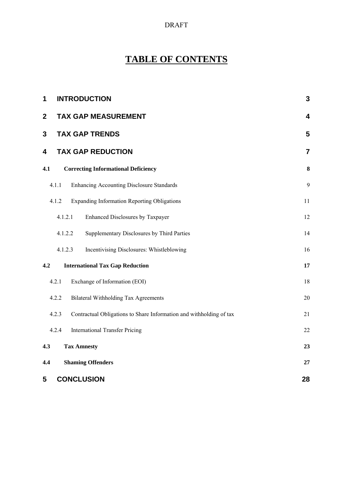## **TABLE OF CONTENTS**

| 1                | <b>INTRODUCTION</b>                                                          | 3         |  |  |  |
|------------------|------------------------------------------------------------------------------|-----------|--|--|--|
| $\boldsymbol{2}$ | <b>TAX GAP MEASUREMENT</b>                                                   |           |  |  |  |
| $\mathbf{3}$     | <b>TAX GAP TRENDS</b>                                                        | 5         |  |  |  |
| 4                | <b>TAX GAP REDUCTION</b>                                                     |           |  |  |  |
| 4.1              | <b>Correcting Informational Deficiency</b>                                   | ${\bf 8}$ |  |  |  |
|                  | <b>Enhancing Accounting Disclosure Standards</b><br>4.1.1                    | 9         |  |  |  |
|                  | 4.1.2<br><b>Expanding Information Reporting Obligations</b>                  | 11        |  |  |  |
|                  | 4.1.2.1<br>Enhanced Disclosures by Taxpayer                                  | 12        |  |  |  |
|                  | 4.1.2.2<br>Supplementary Disclosures by Third Parties                        | 14        |  |  |  |
|                  | Incentivising Disclosures: Whistleblowing<br>4.1.2.3                         | 16        |  |  |  |
| 4.2              | 17                                                                           |           |  |  |  |
|                  | 4.2.1<br>Exchange of Information (EOI)                                       | 18        |  |  |  |
|                  | 4.2.2<br>Bilateral Withholding Tax Agreements                                | 20        |  |  |  |
|                  | Contractual Obligations to Share Information and withholding of tax<br>4.2.3 | 21        |  |  |  |
|                  | 4.2.4<br><b>International Transfer Pricing</b>                               | 22        |  |  |  |
| 4.3              | <b>Tax Amnesty</b>                                                           | 23        |  |  |  |
| 4.4              | <b>Shaming Offenders</b>                                                     | 27        |  |  |  |
| 5                | <b>CONCLUSION</b>                                                            |           |  |  |  |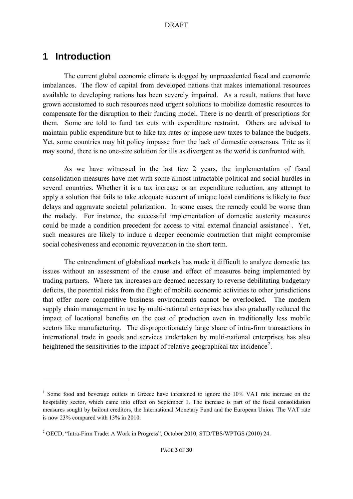## <span id="page-2-0"></span>**1 Introduction**

1

The current global economic climate is dogged by unprecedented fiscal and economic imbalances. The flow of capital from developed nations that makes international resources available to developing nations has been severely impaired. As a result, nations that have grown accustomed to such resources need urgent solutions to mobilize domestic resources to compensate for the disruption to their funding model. There is no dearth of prescriptions for them. Some are told to fund tax cuts with expenditure restraint. Others are advised to maintain public expenditure but to hike tax rates or impose new taxes to balance the budgets. Yet, some countries may hit policy impasse from the lack of domestic consensus. Trite as it may sound, there is no one-size solution for ills as divergent as the world is confronted with.

As we have witnessed in the last few 2 years, the implementation of fiscal consolidation measures have met with some almost intractable political and social hurdles in several countries. Whether it is a tax increase or an expenditure reduction, any attempt to apply a solution that fails to take adequate account of unique local conditions is likely to face delays and aggravate societal polarization. In some cases, the remedy could be worse than the malady. For instance, the successful implementation of domestic austerity measures could be made a condition precedent for access to vital external financial assistance<sup>[1](#page-2-1)</sup>. Yet, such measures are likely to induce a deeper economic contraction that might compromise social cohesiveness and economic rejuvenation in the short term.

The entrenchment of globalized markets has made it difficult to analyze domestic tax issues without an assessment of the cause and effect of measures being implemented by trading partners. Where tax increases are deemed necessary to reverse debilitating budgetary deficits, the potential risks from the flight of mobile economic activities to other jurisdictions that offer more competitive business environments cannot be overlooked. The modern supply chain management in use by multi-national enterprises has also gradually reduced the impact of locational benefits on the cost of production even in traditionally less mobile sectors like manufacturing. The disproportionately large share of intra-firm transactions in international trade in goods and services undertaken by multi-national enterprises has also heightened the sensitivities to the impact of relative geographical tax incidence<sup>[2](#page-2-2)</sup>.

<span id="page-2-1"></span><sup>&</sup>lt;sup>1</sup> Some food and beverage outlets in Greece have threatened to ignore the 10% VAT rate increase on the hospitality sector, which came into effect on September 1. The increase is part of the fiscal consolidation measures sought by bailout creditors, the International Monetary Fund and the European Union. The VAT rate is now 23% compared with 13% in 2010.

<span id="page-2-2"></span><sup>&</sup>lt;sup>2</sup> OECD, "Intra-Firm Trade: A Work in Progress", October 2010, STD/TBS/WPTGS (2010) 24.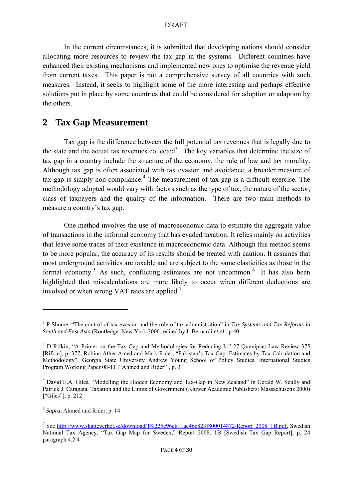In the current circumstances, it is submitted that developing nations should consider allocating more resources to review the tax gap in the systems. Different countries have enhanced their existing mechanisms and implemented new ones to optimise the revenue yield from current taxes. This paper is not a comprehensive survey of all countries with such measures. Instead, it seeks to highlight some of the more interesting and perhaps effective solutions put in place by some countries that could be considered for adoption or adaption by the others.

## <span id="page-3-0"></span>**2 Tax Gap Measurement**

Tax gap is the difference between the full potential tax revenues that is legally due to the state and the actual tax revenues collected<sup>[3](#page-3-1)</sup>. The key variables that determine the size of tax gap in a country include the structure of the economy, the rule of law and tax morality. Although tax gap is often associated with tax evasion and avoidance, a broader measure of tax gap is simply non-compliance.<sup>[4](#page-3-2)</sup> The measurement of tax gap is a difficult exercise. The methodology adopted would vary with factors such as the type of tax, the nature of the sector, class of taxpayers and the quality of the information. There are two main methods to measure a country's tax gap.

One method involves the use of macroeconomic data to estimate the aggregate value of transactions in the informal economy that has evaded taxation. It relies mainly on activities that leave some traces of their existence in macroeconomic data. Although this method seems to be more popular, the accuracy of its results should be treated with caution. It assumes that most underground activities are taxable and are subject to the same elasticities as those in the formal economy.<sup>[5](#page-3-3)</sup> As such, conflicting estimates are not uncommon.<sup>[6](#page-3-4)</sup> It has also been highlighted that miscalculations are more likely to occur when different deductions are involved or when wrong VAT rates are applied.<sup>[7](#page-3-5)</sup>

<span id="page-3-1"></span><sup>&</sup>lt;sup>3</sup> P Shome, "The control of tax evasion and the role of tax administration" in *Tax Systems and Tax Reforms in South and East Asia* (Routledge: New York 2006) edited by L Bernardi *et al*., p 40

<span id="page-3-2"></span><sup>&</sup>lt;sup>4</sup> D Rifkin, "A Primer on the Tax Gap and Methodologies for Reducing It," 27 Qunnipiac Law Review 375 [Rifkin], p. 377; Robina Ather Amed and Mark Rider, "Pakistan's Tax Gap: Estimates by Tax Calculation and Methodology", Georgia State University Andrew Young School of Policy Studies, International Studies Program Working Paper 08-11 ["Ahmed and Rider"], p. 3

<span id="page-3-3"></span><sup>&</sup>lt;sup>5</sup> David E.A. Giles, "Modelling the Hidden Economy and Tax-Gap in New Zealand" in Gerald W. Scully and Patrick J. Caragata, Taxation and the Limits of Government (Kluwer Academic Publishers: Massachusetts 2000) ["Giles"], p. 212

<span id="page-3-4"></span><sup>6</sup> *Supra*, Ahmed and Rider, p. 14

<span id="page-3-5"></span><sup>&</sup>lt;sup>7</sup> See [http://www.skatteverket.se/download/18.225c96e811ae46c823f800014872/Report\\_2008\\_1B.pdf,](http://www.skatteverket.se/download/18.225c96e811ae46c823f800014872/Report_2008_1B.pdf) Swedish National Tax Agency, "Tax Gap Map for Sweden," Report 2008: 1B [Swedish Tax Gap Report], p. 24 paragraph 4.2.4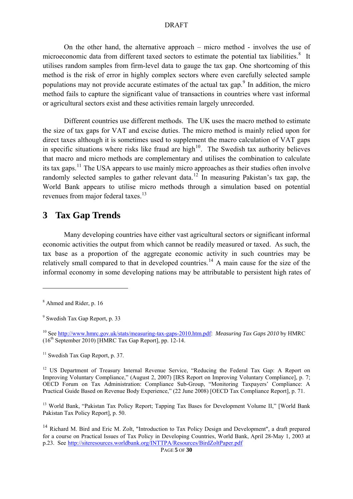On the other hand, the alternative approach – micro method - involves the use of microeconomic data from different taxed sectors to estimate the potential tax liabilities.<sup>[8](#page-4-1)</sup> It utilises random samples from firm-level data to gauge the tax gap. One shortcoming of this method is the risk of error in highly complex sectors where even carefully selected sample populations may not provide accurate estimates of the actual tax  $\text{gap.}^9$  $\text{gap.}^9$  In addition, the micro method fails to capture the significant value of transactions in countries where vast informal or agricultural sectors exist and these activities remain largely unrecorded.

Different countries use different methods. The UK uses the macro method to estimate the size of tax gaps for VAT and excise duties. The micro method is mainly relied upon for direct taxes although it is sometimes used to supplement the macro calculation of VAT gaps in specific situations where risks like fraud are high $10$ . The Swedish tax authority believes that macro and micro methods are complementary and utilises the combination to calculate its tax gaps.[11](#page-4-4) The USA appears to use mainly micro approaches as their studies often involve randomly selected samples to gather relevant data.<sup>[12](#page-4-5)</sup> In measuring Pakistan's tax gap, the World Bank appears to utilise micro methods through a simulation based on potential revenues from major federal taxes.<sup>[13](#page-4-6)</sup>

## <span id="page-4-0"></span>**3 Tax Gap Trends**

Many developing countries have either vast agricultural sectors or significant informal economic activities the output from which cannot be readily measured or taxed. As such, the tax base as a proportion of the aggregate economic activity in such countries may be relatively small compared to that in developed countries.<sup>[14](#page-4-7)</sup> A main cause for the size of the informal economy in some developing nations may be attributable to persistent high rates of

<span id="page-4-1"></span><sup>8</sup> Ahmed and Rider, p. 16

<span id="page-4-2"></span><sup>9</sup> Swedish Tax Gap Report, p. 33

<span id="page-4-3"></span><sup>10</sup> See [http://www.hmrc.gov.uk/stats/measuring-tax-gaps-2010.htm.pdf:](http://www.hmrc.gov.uk/stats/measuring-tax-gaps-2010.htm.pdf) *Measuring Tax Gaps 2010* by HMRC  $(16<sup>th</sup> September 2010) [HMRC Tax Gap Report], pp. 12-14.$ 

<span id="page-4-4"></span> $11$  Swedish Tax Gap Report, p. 37.

<span id="page-4-5"></span><sup>&</sup>lt;sup>12</sup> US Department of Treasury Internal Revenue Service, "Reducing the Federal Tax Gap: A Report on Improving Voluntary Compliance," (August 2, 2007) [IRS Report on Improving Voluntary Compliance], p. 7; OECD Forum on Tax Administration: Compliance Sub-Group, "Monitoring Taxpayers' Compliance: A Practical Guide Based on Revenue Body Experience," (22 June 2008) [OECD Tax Compliance Report], p. 71.

<span id="page-4-6"></span><sup>&</sup>lt;sup>13</sup> World Bank, "Pakistan Tax Policy Report: Tapping Tax Bases for Development Volume II," [World Bank] Pakistan Tax Policy Report], p. 50.

<span id="page-4-7"></span><sup>&</sup>lt;sup>14</sup> Richard M. Bird and Eric M. Zolt, "Introduction to Tax Policy Design and Development", a draft prepared for a course on Practical Issues of Tax Policy in Developing Countries, World Bank, April 28-May 1, 2003 at p.23. See <http://siteresources.worldbank.org/INTTPA/Resources/BirdZoltPaper.pdf>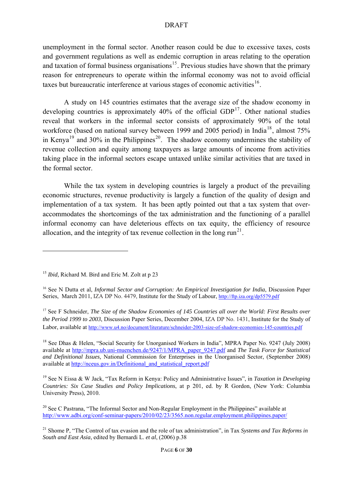unemployment in the formal sector. Another reason could be due to excessive taxes, costs and government regulations as well as endemic corruption in areas relating to the operation and taxation of formal business organisations<sup>[15](#page-5-0)</sup>. Previous studies have shown that the primary reason for entrepreneurs to operate within the informal economy was not to avoid official taxes but bureaucratic interference at various stages of economic activities<sup>[16](#page-5-1)</sup>.

A study on 145 countries estimates that the average size of the shadow economy in developing countries is approximately 40% of the official  $GDP<sup>17</sup>$  $GDP<sup>17</sup>$  $GDP<sup>17</sup>$ . Other national studies reveal that workers in the informal sector consists of approximately 90% of the total workforce (based on national survey between 1999 and 2005 period) in India<sup>[18](#page-5-3)</sup>, almost 75% in Kenya<sup>[19](#page-5-4)</sup> and 30% in the Philippines<sup>20</sup>. The shadow economy undermines the stability of revenue collection and equity among taxpayers as large amounts of income from activities taking place in the informal sectors escape untaxed unlike similar activities that are taxed in the formal sector.

While the tax system in developing countries is largely a product of the prevailing economic structures, revenue productivity is largely a function of the quality of design and implementation of a tax system. It has been aptly pointed out that a tax system that overaccommodates the shortcomings of the tax administration and the functioning of a parallel informal economy can have deleterious effects on tax equity, the efficiency of resource allocation, and the integrity of tax revenue collection in the long  $run^{21}$  $run^{21}$  $run^{21}$ .

<u>.</u>

<span id="page-5-0"></span><sup>15</sup> *Ibid,* Richard M. Bird and Eric M. Zolt at p 23

<span id="page-5-1"></span><sup>16</sup> See N Dutta et al, *Informal Sector and Corruption: An Empirical Investigation for India*, Discussion Paper Series, March 2011, IZA DP No. 4479, Institute for the Study of Labour, <http://ftp.iza.org/dp5579.pdf>

<span id="page-5-2"></span><sup>&</sup>lt;sup>17</sup> See F Schneider, *The Size of the Shadow Economies of 145 Countries all over the World: First Results over the Period 1999 to 2003*, Discussion Paper Series, December 2004, IZA DP No. 1431, Institute for the Stud[y](http://www.u4.no/document/literature/schneider-2003-size-of-shadow-economies-145-countries.pdf) of Labor, available at<http://www.u4.no/document/literature/schneider-2003-size-of-shadow-economies-145-countries.pdf>

<span id="page-5-3"></span><sup>&</sup>lt;sup>18</sup> See Dhas & Helen, "Social Security for Unorganised Workers in India", MPRA Paper No. 9247 (July 2008) available at [http://mpra.ub.uni-muenchen.de/9247/1/MPRA\\_paper\\_9247.pdf](http://mpra.ub.uni-muenchen.de/9247/1/MPRA_paper_9247.pdf) and *The Task Force for Statistical and Definitional Issues,* National Commission for Enterprises in the Unorganised Sector, (September 2008) available at [http://nceus.gov.in/Definitional\\_and\\_statistical\\_report.pdf](http://nceus.gov.in/Definitional_and_statistical_report.pdf)

<span id="page-5-4"></span><sup>19</sup> See N Eissa & W Jack, "Tax Reform in Kenya: Policy and Administrative Issues", in *Taxation in Developing Countries: Six Case Studies and Policy Implications*, at p 201, ed. by R Gordon, (New York: Columbia University Press), 2010.

<span id="page-5-5"></span><sup>&</sup>lt;sup>20</sup> See C Pastrana, "The Informal Sector and Non-Regular Employment in the Philippines" available at <http://www.adbi.org/conf-seminar-papers/2010/02/23/3565.non.regular.employment.philippines.paper/>

<span id="page-5-6"></span><sup>21</sup> Shome P, "The Control of tax evasion and the role of tax administration", in Tax *Systems and Tax Reforms in South and East Asia*, edited by Bernardi L. *et al*, (2006) p.38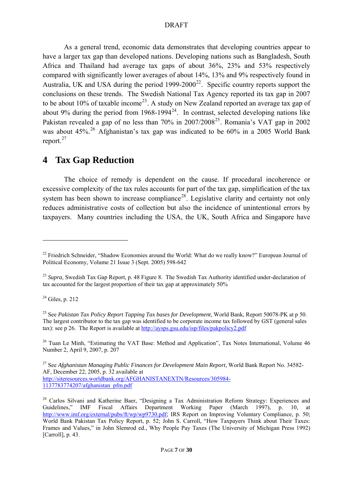As a general trend, economic data demonstrates that developing countries appear to have a larger tax gap than developed nations. Developing nations such as Bangladesh, South Africa and Thailand had average tax gaps of about 36%, 23% and 53% respectively compared with significantly lower averages of about 14%, 13% and 9% respectively found in Australia, UK and USA during the period  $1999-2000^{22}$  $1999-2000^{22}$  $1999-2000^{22}$ . Specific country reports support the conclusions on these trends. The Swedish National Tax Agency reported its tax gap in 2007 to be about 10% of taxable income<sup>[23](#page-6-2)</sup>. A study on New Zealand reported an average tax gap of about 9% during the period from  $1968-1994^{24}$  $1968-1994^{24}$  $1968-1994^{24}$ . In contrast, selected developing nations like Pakistan revealed a gap of no less than  $70\%$  in  $2007/2008^{25}$  $2007/2008^{25}$  $2007/2008^{25}$ . Romania's VAT gap in 2002 was about  $45\%$ <sup>[26](#page-6-5)</sup> Afghanistan's tax gap was indicated to be  $60\%$  in a 2005 World Bank report.<sup>[27](#page-6-6)</sup>

## **4 Tax Gap Reduction**

<span id="page-6-0"></span>The choice of remedy is dependent on the cause. If procedural incoherence or excessive complexity of the tax rules accounts for part of the tax gap, simplification of the tax system has been shown to increase compliance<sup>[28](#page-6-7)</sup>. Legislative clarity and certainty not only reduces administrative costs of collection but also the incidence of unintentional errors by taxpayers. Many countries including the USA, the UK, South Africa and Singapore have

<span id="page-6-3"></span> $24$  Giles, p. 212

<u>.</u>

<span id="page-6-1"></span><sup>&</sup>lt;sup>22</sup> Friedrich Schneider. "Shadow Economies around the World: What do we really know?" European Journal of Political Economy, Volume 21 Issue 3 (Sept. 2005) 598-642

<span id="page-6-2"></span><sup>&</sup>lt;sup>23</sup> *Supra*, Swedish Tax Gap Report, p. 48 Figure 8. The Swedish Tax Authority identified under-declaration of tax accounted for the largest proportion of their tax gap at approximately 50%

<span id="page-6-4"></span><sup>&</sup>lt;sup>25</sup> See *Pakistan Tax Policy Report Tapping Tax bases for Development*, World Bank, Report 50078-PK at p 50. The largest contributor to the tax gap was identified to be corporate income tax followed by GST (general sales tax): see p 26. The Report is available at<http://aysps.gsu.edu/isp/files/pakpolicy2.pdf>

<span id="page-6-5"></span><sup>&</sup>lt;sup>26</sup> Tuan Le Minh, "Estimating the VAT Base: Method and Application", Tax Notes International, Volume 46 Number 2, April 9, 2007, p. 207

<span id="page-6-6"></span><sup>&</sup>lt;sup>27</sup> See *Afghanistan Managing Public Finances for Development Main Report*, World Bank Report No. 34582-AF, December 22, 2005, p. 32 available at [http://siteresources.worldbank.org/AFGHANISTANEXTN/Resources/305984-](http://siteresources.worldbank.org/AFGHANISTANEXTN/Resources/305984-1137783774207/afghanistan_pfm.pdf) [1137783774207/afghanistan\\_pfm.pdf](http://siteresources.worldbank.org/AFGHANISTANEXTN/Resources/305984-1137783774207/afghanistan_pfm.pdf)

<span id="page-6-7"></span><sup>&</sup>lt;sup>28</sup> Carlos Silvani and Katherine Baer, "Designing a Tax Administration Reform Strategy: Experiences and Guidelines," IMF Fiscal Affairs Department Working Paper (March 1997), p. 10, at <http://www.imf.org/external/pubs/ft/wp/wp9730.pdf>; IRS Report on Improving Voluntary Compliance, p. 50; World Bank Pakistan Tax Policy Report, p. 52; John S. Carroll, "How Taxpayers Think about Their Taxes: Frames and Values," in John Slemrod ed., Why People Pay Taxes (The University of Michigan Press 1992) [Carroll], p. 43.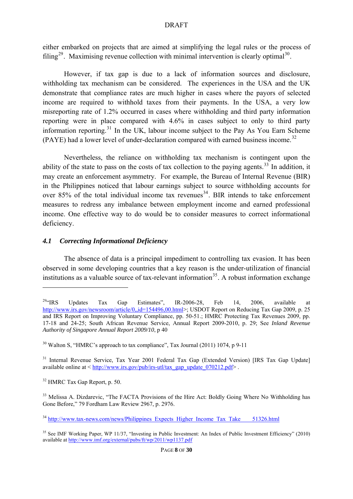either embarked on projects that are aimed at simplifying the legal rules or the process of filing<sup>[29](#page-7-1)</sup>. Maximising revenue collection with minimal intervention is clearly optimal<sup>[30](#page-7-2)</sup>.

However, if tax gap is due to a lack of information sources and disclosure, withholding tax mechanism can be considered. The experiences in the USA and the UK demonstrate that compliance rates are much higher in cases where the payors of selected income are required to withhold taxes from their payments. In the USA, a very low misreporting rate of 1.2% occurred in cases where withholding and third party information reporting were in place compared with 4.6% in cases subject to only to third party information reporting.[31](#page-7-3) In the UK, labour income subject to the Pay As You Earn Scheme  $(PAYE)$  had a lower level of under-declaration compared with earned business income.<sup>[32](#page-7-4)</sup>

Nevertheless, the reliance on withholding tax mechanism is contingent upon the ability of the state to pass on the costs of tax collection to the paying agents.<sup>[33](#page-7-5)</sup> In addition, it may create an enforcement asymmetry. For example, the Bureau of Internal Revenue (BIR) in the Philippines noticed that labour earnings subject to source withholding accounts for over 85% of the total individual income tax revenues<sup>[34](#page-7-6)</sup>. BIR intends to take enforcement measures to redress any imbalance between employment income and earned professional income. One effective way to do would be to consider measures to correct informational deficiency.

#### *4.1 Correcting Informational Deficiency*

<span id="page-7-0"></span>The absence of data is a principal impediment to controlling tax evasion. It has been observed in some developing countries that a key reason is the under-utilization of financial institutions as a valuable source of tax-relevant information<sup>[35](#page-7-7)</sup>. A robust information exchange

<span id="page-7-1"></span><sup>&</sup>lt;sup>29"</sup>IRS Updates Tax Gap Estimates", IR-2006-28, Feb 14, 2006, available at <http://www.irs.gov/newsroom/article/0,,id=154496,00.html>>; USDOT Report on Reducing Tax Gap 2009, p. 25 and IRS Report on Improving Voluntary Compliance, pp. 50-51.; HMRC Protecting Tax Revenues 2009, pp. 17-18 and 24-25; South African Revenue Service, Annual Report 2009-2010, p. 29; See *Inland Revenue Authority of Singapore Annual Report 2009/10*, p 40

<span id="page-7-2"></span> $30$  Walton S, "HMRC's approach to tax compliance", Tax Journal (2011) 1074, p 9-11

<span id="page-7-3"></span><sup>&</sup>lt;sup>31</sup> Internal Revenue Service, Tax Year 2001 Federal Tax Gap (Extended Version) [IRS Tax Gap Update] available online at  $\langle \frac{http://www.irs.gov/pub/irs-ut1/tax-gap-update}{070212.pdf} \rangle$ .

<span id="page-7-4"></span><sup>32</sup> HMRC Tax Gap Report, p. 50.

<span id="page-7-5"></span><sup>&</sup>lt;sup>33</sup> Melissa A. Dizdarevic, "The FACTA Provisions of the Hire Act: Boldly Going Where No Withholding has Gone Before," 79 Fordham Law Review 2967, p. 2976.

<span id="page-7-6"></span><sup>&</sup>lt;sup>34</sup> [http://www.tax-news.com/news/Philippines\\_Expects\\_Higher\\_Income\\_Tax\\_Take\\_\\_\\_\\_51326.html](http://www.tax-news.com/news/Philippines_Expects_Higher_Income_Tax_Take____51326.html)

<span id="page-7-7"></span><sup>&</sup>lt;sup>35</sup> See IMF Working Paper, WP 11/37, "Investing in Public Investment: An Index of Public Investment Efficiency" (2010) available at <http://www.imf.org/external/pubs/ft/wp/2011/wp1137.pdf>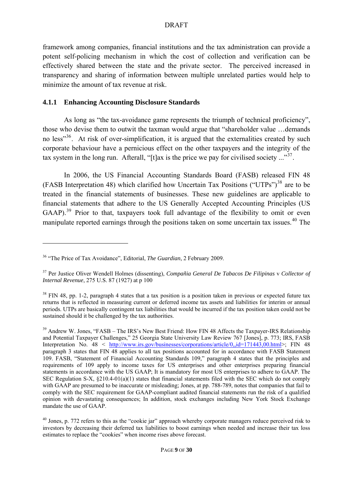framework among companies, financial institutions and the tax administration can provide a potent self-policing mechanism in which the cost of collection and verification can be effectively shared between the state and the private sector. The perceived increased in transparency and sharing of information between multiple unrelated parties would help to minimize the amount of tax revenue at risk.

## **4.1.1 Enhancing Accounting Disclosure Standards**

<span id="page-8-0"></span>As long as "the tax-avoidance game represents the triumph of technical proficiency", those who devise them to outwit the taxman would argue that "shareholder value …demands no less"<sup>[36](#page-8-1)</sup>. At risk of over-simplification, it is argued that the externalities created by such corporate behaviour have a pernicious effect on the other taxpayers and the integrity of the tax system in the long run. Afterall, "[t]ax is the price we pay for civilised society ..."<sup>[37](#page-8-2)</sup>.

In 2006, the US Financial Accounting Standards Board (FASB) released FIN 48 (FASB Interpretation 48) which clarified how Uncertain Tax Positions ("UTPs")<sup>[38](#page-8-3)</sup> are to be treated in the financial statements of businesses. These new guidelines are applicable to financial statements that adhere to the US Generally Accepted Accounting Principles (US  $GAP$ ).<sup>[39](#page-8-4)</sup> Prior to that, taxpayers took full advantage of the flexibility to omit or even manipulate reported earnings through the positions taken on some uncertain tax issues.<sup>[40](#page-8-5)</sup> The

<span id="page-8-1"></span><sup>36 &</sup>quot;The Price of Tax Avoidance", Editorial, *The Guardian*, 2 February 2009.

<span id="page-8-2"></span><sup>37</sup> Per Justice Oliver Wendell Holmes (dissenting), *Compañia General De Tabacos De Filipinas* v *Collector of Internal Revenue*, 275 U.S. 87 (1927) at p 100

<span id="page-8-3"></span> $38$  FIN 48, pp. 1-2, paragraph 4 states that a tax position is a position taken in previous or expected future tax returns that is reflected in measuring current or deferred income tax assets and liabilities for interim or annual periods. UTPs are basically contingent tax liabilities that would be incurred if the tax position taken could not be sustained should it be challenged by the tax authorities.

<span id="page-8-4"></span><sup>&</sup>lt;sup>39</sup> Andrew W. Jones, "FASB – The IRS's New Best Friend: How FIN 48 Affects the Taxpayer-IRS Relationship and Potential Taxpayer Challenges," 25 Georgia State University Law Review 767 [Jones], p. 773; IRS, FASB Interpretation No. 48 < [http://www.irs.gov/businesses/corporations/article/0,,id=171443,00.html>](http://www.irs.gov/businesses/corporations/article/0,,id=171443,00.html); FIN 48 paragraph 3 states that FIN 48 applies to all tax positions accounted for in accordance with FASB Statement 109. FASB, "Statement of Financial Accounting Standards 109," paragraph 4 states that the principles and requirements of 109 apply to income taxes for US enterprises and other enterprises preparing financial statements in accordance with the US GAAP; It is mandatory for most US enterprises to adhere to GAAP. The SEC Regulation S-X, §210.4-01(a)(1) states that financial statements filed with the SEC which do not comply with GAAP are presumed to be inaccurate or misleading; Jones, at pp. 788-789, notes that companies that fail to comply with the SEC requirement for GAAP-compliant audited financial statements run the risk of a qualified opinion with devastating consequences; In addition, stock exchanges including New York Stock Exchange mandate the use of GAAP.

<span id="page-8-5"></span><sup>&</sup>lt;sup>40</sup> Jones, p. 772 refers to this as the "cookie jar" approach whereby corporate managers reduce perceived risk to investors by decreasing their deferred tax liabilities to boost earnings when needed and increase their tax loss estimates to replace the "cookies" when income rises above forecast.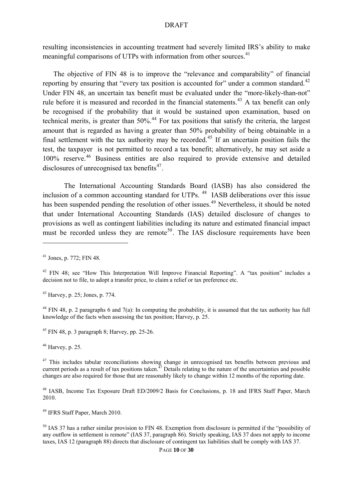resulting inconsistencies in accounting treatment had severely limited IRS's ability to make meaningful comparisons of UTPs with information from other sources.<sup>41</sup>

The objective of FIN 48 is to improve the "relevance and comparability" of financial reporting by ensuring that "every tax position is accounted for" under a common standard.<sup>[42](#page-9-0)</sup> Under FIN 48, an uncertain tax benefit must be evaluated under the "more-likely-than-not" rule before it is measured and recorded in the financial statements.<sup>[43](#page-9-1)</sup> A tax benefit can only be recognised if the probability that it would be sustained upon examination, based on technical merits, is greater than  $50\%$ .<sup>[44](#page-9-2)</sup> For tax positions that satisfy the criteria, the largest amount that is regarded as having a greater than 50% probability of being obtainable in a final settlement with the tax authority may be recorded.<sup>[45](#page-9-3)</sup> If an uncertain position fails the test, the taxpayer is not permitted to record a tax benefit; alternatively, he may set aside a 100% reserve.[46](#page-9-4) Business entities are also required to provide extensive and detailed disclosures of unrecognised tax benefits<sup>[47](#page-9-5)</sup>.

The International Accounting Standards Board (IASB) has also considered the inclusion of a common accounting standard for UTPs.<sup>[48](#page-9-6)</sup> IASB deliberations over this issue has been suspended pending the resolution of other issues.<sup>[49](#page-9-7)</sup> Nevertheless, it should be noted that under International Accounting Standards (IAS) detailed disclosure of changes to provisions as well as contingent liabilities including its nature and estimated financial impact must be recorded unless they are remote<sup>[50](#page-9-8)</sup>. The IAS disclosure requirements have been

1

<span id="page-9-1"></span>43 Harvey, p. 25; Jones, p. 774.

<span id="page-9-2"></span><sup>44</sup> FIN 48, p. 2 paragraphs 6 and  $7(a)$ : In computing the probability, it is assumed that the tax authority has full knowledge of the facts when assessing the tax position; Harvey, p. 25.

<span id="page-9-3"></span> $45$  FIN 48, p. 3 paragraph 8; Harvey, pp. 25-26.

<span id="page-9-4"></span> $46$  Harvey, p. 25.

<span id="page-9-5"></span><sup>47</sup> This includes tabular reconciliations showing change in unrecognised tax benefits between previous and current periods as a result of tax positions taken. $^{47}$  Details relating to the nature of the uncertainties and possible changes are also required for those that are reasonably likely to change within 12 months of the reporting date.

<span id="page-9-6"></span>48 IASB, Income Tax Exposure Draft ED/2009/2 Basis for Conclusions, p. 18 and IFRS Staff Paper, March 2010.

<span id="page-9-7"></span>49 IFRS Staff Paper, March 2010.

<span id="page-9-8"></span><sup>50</sup> IAS 37 has a rather similar provision to FIN 48. Exemption from disclosure is permitted if the "possibility of any outflow in settlement is remote" (IAS 37, paragraph 86). Strictly speaking, IAS 37 does not apply to income taxes, IAS 12 (paragraph 88) directs that disclosure of contingent tax liabilities shall be comply with IAS 37.

<sup>41</sup> Jones, p. 772; FIN 48.

<span id="page-9-0"></span><sup>&</sup>lt;sup>42</sup> FIN 48; see "How This Interpretation Will Improve Financial Reporting". A "tax position" includes a decision not to file, to adopt a transfer price, to claim a relief or tax preference etc.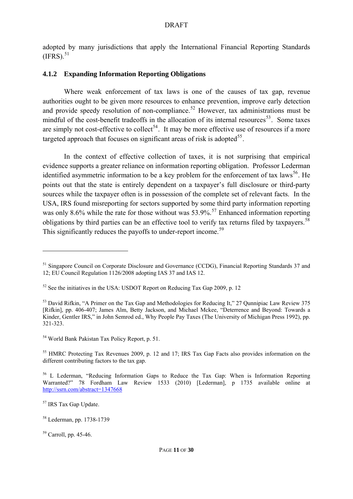adopted by many jurisdictions that apply the International Financial Reporting Standards  $(IFRS).$ <sup>[51](#page-10-1)</sup>

## **4.1.2 Expanding Information Reporting Obligations**

<span id="page-10-0"></span>Where weak enforcement of tax laws is one of the causes of tax gap, revenue authorities ought to be given more resources to enhance prevention, improve early detection and provide speedy resolution of non-compliance.<sup>[52](#page-10-2)</sup> However, tax administrations must be mindful of the cost-benefit tradeoffs in the allocation of its internal resources<sup>[53](#page-10-3)</sup>. Some taxes are simply not cost-effective to collect<sup>[54](#page-10-4)</sup>. It may be more effective use of resources if a more targeted approach that focuses on significant areas of risk is adopted<sup>[55](#page-10-5)</sup>.

In the context of effective collection of taxes, it is not surprising that empirical evidence supports a greater reliance on information reporting obligation. Professor Lederman identified asymmetric information to be a key problem for the enforcement of tax laws<sup>[56](#page-10-6)</sup>. He points out that the state is entirely dependent on a taxpayer's full disclosure or third-party sources while the taxpayer often is in possession of the complete set of relevant facts. In the USA, IRS found misreporting for sectors supported by some third party information reporting was only 8.6% while the rate for those without was  $53.9\%$ .<sup>[57](#page-10-7)</sup> Enhanced information reporting obligations by third parties can be an effective tool to verify tax returns filed by taxpayers.<sup>[58](#page-10-8)</sup> This significantly reduces the payoffs to under-report income.<sup>[59](#page-10-9)</sup>

<u>.</u>

<span id="page-10-1"></span><sup>&</sup>lt;sup>51</sup> Singapore Council on Corporate Disclosure and Governance (CCDG), Financial Reporting Standards 37 and 12; EU Council Regulation 1126/2008 adopting IAS 37 and IAS 12.

<span id="page-10-2"></span> $52$  See the initiatives in the USA: USDOT Report on Reducing Tax Gap 2009, p. 12

<span id="page-10-3"></span><sup>&</sup>lt;sup>53</sup> David Rifkin, "A Primer on the Tax Gap and Methodologies for Reducing It," 27 Qunnipiac Law Review 375 [Rifkin], pp. 406-407; James Alm, Betty Jackson, and Michael Mckee, "Deterrence and Beyond: Towards a Kinder, Gentler IRS," in John Semrod ed., Why People Pay Taxes (The University of Michigan Press 1992), pp. 321-323.

<span id="page-10-4"></span><sup>54</sup> World Bank Pakistan Tax Policy Report, p. 51.

<span id="page-10-5"></span><sup>55</sup> HMRC Protecting Tax Revenues 2009, p. 12 and 17; IRS Tax Gap Facts also provides information on the different contributing factors to the tax gap.

<span id="page-10-6"></span><sup>&</sup>lt;sup>56</sup> L Lederman, "Reducing Information Gaps to Reduce the Tax Gap: When is Information Reporting Warranted?" 78 Fordham Law Review 1533 (2010) [Lederman], p 1735 available online at <http://ssrn.com/abstract=1347668>

<span id="page-10-7"></span><sup>&</sup>lt;sup>57</sup> IRS Tax Gap Update.

<span id="page-10-8"></span><sup>58</sup> Lederman, pp. 1738-1739

<span id="page-10-9"></span> $59$  Carroll, pp. 45-46.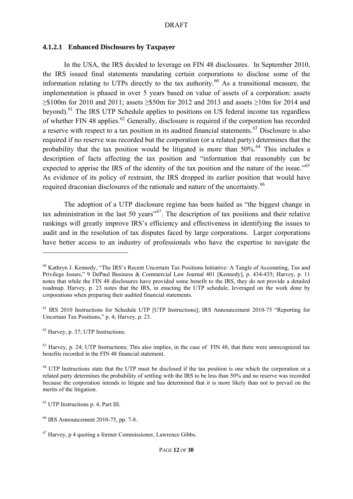#### **4.1.2.1 Enhanced Disclosures by Taxpayer**

<span id="page-11-0"></span>In the USA, the IRS decided to leverage on FIN 48 disclosures. In September 2010, the IRS issued final statements mandating certain corporations to disclose some of the information relating to UTPs directly to the tax authority.<sup>[60](#page-11-1)</sup> As a transitional measure, the implementation is phased in over 5 years based on value of assets of a corporation: assets ≥\$100m for 2010 and 2011; assets ≥\$50m for 2012 and 2013 and assets ≥10m for 2014 and beyond).<sup>[61](#page-11-2)</sup> The IRS UTP Schedule applies to positions on US federal income tax regardless of whether FIN 48 applies.<sup>[62](#page-11-3)</sup> Generally, disclosure is required if the corporation has recorded a reserve with respect to a tax position in its audited financial statements.[63](#page-11-4) Disclosure is also required if no reserve was recorded but the corporation (or a related party) determines that the probability that the tax position would be litigated is more than  $50\%$ .<sup>[64](#page-11-5)</sup> This includes a description of facts affecting the tax position and "information that reasonably can be expected to apprise the IRS of the identity of the tax position and the nature of the issue."<sup>[65](#page-11-6)</sup> As evidence of its policy of restraint, the IRS dropped its earlier position that would have required draconian disclosures of the rationale and nature of the uncertainty.<sup>[66](#page-11-7)</sup>

The adoption of a UTP disclosure regime has been hailed as "the biggest change in tax administration in the last 50 years<sup> $56$ </sup>. The description of tax positions and their relative rankings will greatly improve IRS's efficiency and effectiveness in identifying the issues to audit and in the resolution of tax disputes faced by large corporations. Larger corporations have better access to an industry of professionals who have the expertise to navigate the

<span id="page-11-3"></span>62 Harvey, p. 37; UTP Instructions.

1

<span id="page-11-4"></span> $63$  Harvey, p. 24; UTP Instructions; This also implies, in the case of FIN 48, that there were unrecognized tax benefits recorded in the FIN 48 financial statement.

<span id="page-11-1"></span><sup>60</sup> Kathryn J. Kennedy, "The IRS's Recent Uncertain Tax Positions Initiative: A Tangle of Accounting, Tax and Privilege Issues," 9 DePaul Business & Commercial Law Journal 401 [Kennedy], p. 434-435; Harvey, p. 11 notes that while the FIN 48 disclosures have provided some benefit to the IRS, they do not provide a detailed roadmap. Harvey, p. 23 notes that the IRS, in enacting the UTP schedule, leveraged on the work done by corporations when preparing their audited financial statements.

<span id="page-11-2"></span><sup>61</sup> IRS 2010 Instructions for Schedule UTP [UTP Instructions]; IRS Announcement 2010-75 "Reporting for Uncertain Tax Positions," p. 4; Harvey, p. 23.

<span id="page-11-5"></span><sup>&</sup>lt;sup>64</sup> UTP Instructions state that the UTP must be disclosed if the tax position is one which the corporation or a related party determines the probability of settling with the IRS to be less than 50% and no reserve was recorded because the corporation intends to litigate and has determined that it is more likely than not to prevail on the merits of the litigation.

<span id="page-11-6"></span><sup>65</sup> UTP Instructions p. 4, Part III.

<span id="page-11-7"></span><sup>66</sup> IRS Announcement 2010-75, pp. 7-8.

<span id="page-11-8"></span> $67$  Harvey, p 4 quoting a former Commissioner, Lawrence Gibbs.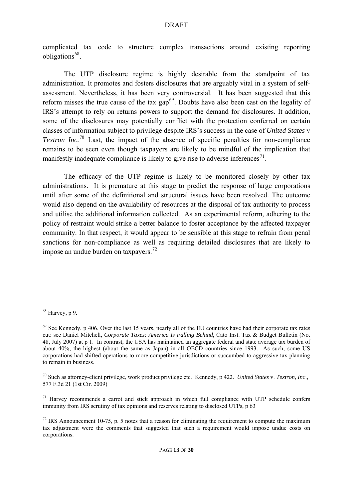complicated tax code to structure complex transactions around existing reporting obligations $^{68}$ .

The UTP disclosure regime is highly desirable from the standpoint of tax administration. It promotes and fosters disclosures that are arguably vital in a system of selfassessment. Nevertheless, it has been very controversial. It has been suggested that this reform misses the true cause of the tax gap<sup>[69](#page-12-0)</sup>. Doubts have also been cast on the legality of IRS's attempt to rely on returns powers to support the demand for disclosures. It addition, some of the disclosures may potentially conflict with the protection conferred on certain classes of information subject to privilege despite IRS's success in the case of *United States* v *Textron Inc.*<sup>[70](#page-12-1)</sup> Last, the impact of the absence of specific penalties for non-compliance remains to be seen even though taxpayers are likely to be mindful of the implication that manifestly inadequate compliance is likely to give rise to adverse inferences<sup>[71](#page-12-2)</sup>.

The efficacy of the UTP regime is likely to be monitored closely by other tax administrations. It is premature at this stage to predict the response of large corporations until after some of the definitional and structural issues have been resolved. The outcome would also depend on the availability of resources at the disposal of tax authority to process and utilise the additional information collected. As an experimental reform, adhering to the policy of restraint would strike a better balance to foster acceptance by the affected taxpayer community. In that respect, it would appear to be sensible at this stage to refrain from penal sanctions for non-compliance as well as requiring detailed disclosures that are likely to impose an undue burden on taxpayers.<sup>[72](#page-12-3)</sup>

 $68$  Harvey, p 9.

<span id="page-12-0"></span> $69$  See Kennedy, p 406. Over the last 15 years, nearly all of the EU countries have had their corporate tax rates cut: see Daniel Mitchell, *Corporate Taxes: America Is Falling Behind*, Cato Inst. Tax & Budget Bulletin (No. 48, July 2007) at p 1. In contrast, the USA has maintained an aggregate federal and state average tax burden of about 40%, the highest (about the same as Japan) in all OECD countries since 1993. As such, some US corporations had shifted operations to more competitive jurisdictions or succumbed to aggressive tax planning to remain in business.

<span id="page-12-1"></span><sup>70</sup> Such as attorney-client privilege, work product privilege etc. Kennedy, p 422. *[United States](http://international.westlaw.com/Find/Default.wl?rs=WLIN1.0&vr=2.0&DB=506&FindType=Y&SerialNum=2019606709)* v. *Textron, Inc*., [577 F.3d 21 \(1st Cir. 2009\)](http://international.westlaw.com/Find/Default.wl?rs=WLIN1.0&vr=2.0&DB=506&FindType=Y&SerialNum=2019606709) 

<span id="page-12-2"></span> $71$  Harvey recommends a carrot and stick approach in which full compliance with UTP schedule confers immunity from IRS scrutiny of tax opinions and reserves relating to disclosed UTPs, p 63

<span id="page-12-3"></span><sup>&</sup>lt;sup>72</sup> IRS Announcement 10-75, p. 5 notes that a reason for eliminating the requirement to compute the maximum tax adjustment were the comments that suggested that such a requirement would impose undue costs on corporations.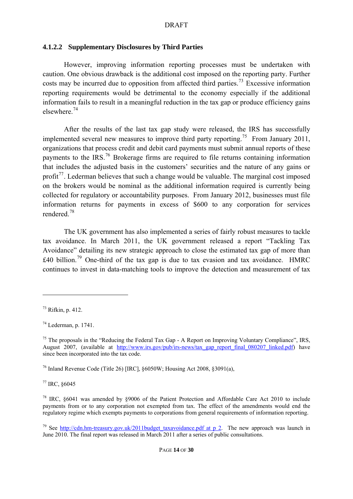## **4.1.2.2 Supplementary Disclosures by Third Parties**

<span id="page-13-0"></span>However, improving information reporting processes must be undertaken with caution. One obvious drawback is the additional cost imposed on the reporting party. Further costs may be incurred due to opposition from affected third parties.<sup>[73](#page-13-1)</sup> Excessive information reporting requirements would be detrimental to the economy especially if the additional information fails to result in a meaningful reduction in the tax gap or produce efficiency gains elsewhere<sup>[74](#page-13-2)</sup>

After the results of the last tax gap study were released, the IRS has successfully implemented several new measures to improve third party reporting.<sup>[75](#page-13-3)</sup> From January 2011, organizations that process credit and debit card payments must submit annual reports of these payments to the IRS.<sup>[76](#page-13-4)</sup> Brokerage firms are required to file returns containing information that includes the adjusted basis in the customers' securities and the nature of any gains or profit<sup> $77$ </sup>. Lederman believes that such a change would be valuable. The marginal cost imposed on the brokers would be nominal as the additional information required is currently being collected for regulatory or accountability purposes. From January 2012, businesses must file information returns for payments in excess of \$600 to any corporation for services rendered<sup>[78](#page-13-6)</sup>

The UK government has also implemented a series of fairly robust measures to tackle tax avoidance. In March 2011, the UK government released a report "Tackling Tax Avoidance" detailing its new strategic approach to close the estimated tax gap of more than  $£40$  billion.<sup>[79](#page-13-7)</sup> One-third of the tax gap is due to tax evasion and tax avoidance. HMRC continues to invest in data-matching tools to improve the detection and measurement of tax

<span id="page-13-1"></span>1

<span id="page-13-5"></span><span id="page-13-4"></span><sup>76</sup> Inland Revenue Code (Title 26) [IRC],  $\S6050W$ ; Housing Act 2008,  $\S3091(a)$ ,

<span id="page-13-6"></span>77 IRC, §6045

<span id="page-13-2"></span><sup>73</sup> Rifkin, p. 412.

<span id="page-13-3"></span><sup>74</sup> Lederman, p. 1741.

<sup>&</sup>lt;sup>75</sup> The proposals in the "Reducing the Federal Tax Gap - A Report on Improving Voluntary Compliance", IRS, August 2007, (available at [http://www.irs.gov/pub/irs-news/tax\\_gap\\_report\\_final\\_080207\\_linked.pdf](http://www.irs.gov/pub/irs-news/tax_gap_report_final_080207_linked.pdf)) have since been incorporated into the tax code.

<sup>78</sup> IRC, §6041 was amended by §9006 of the Patient Protection and Affordable Care Act 2010 to include payments from or to any corporation not exempted from tax. The effect of the amendments would end the regulatory regime which exempts payments to corporations from general requirements of information reporting.

<span id="page-13-7"></span><sup>&</sup>lt;sup>79</sup> See http://cdn.hm-treasury.gov.uk/2011budget taxavoidance.pdf at p 2. The new approach was launch in June 2010. The final report was released in March 2011 after a series of public consultations.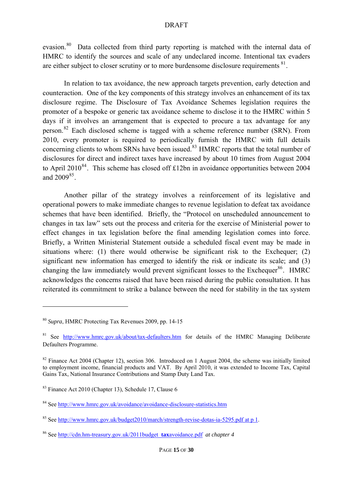evasion.<sup>[80](#page-14-0)</sup> Data collected from third party reporting is matched with the internal data of HMRC to identify the sources and scale of any undeclared income. Intentional tax evaders are either subject to closer scrutiny or to more burdensome disclosure requirements  $81$ .

In relation to tax avoidance, the new approach targets prevention, early detection and counteraction. One of the key components of this strategy involves an enhancement of its tax disclosure regime. The Disclosure of Tax Avoidance Schemes legislation requires the promoter of a bespoke or generic tax avoidance scheme to disclose it to the HMRC within 5 days if it involves an arrangement that is expected to procure a tax advantage for any person.[82](#page-14-2) Each disclosed scheme is tagged with a scheme reference number (SRN). From 2010, every promoter is required to periodically furnish the HMRC with full details concerning clients to whom SRNs have been issued.<sup>[83](#page-14-3)</sup> HMRC reports that the total number of disclosures for direct and indirect taxes have increased by about 10 times from August 2004 to April 2010<sup>[84](#page-14-4)</sup>. This scheme has closed off £12bn in avoidance opportunities between 2004 and 2009<sup>[85](#page-14-5)</sup>.

Another pillar of the strategy involves a reinforcement of its legislative and operational powers to make immediate changes to revenue legislation to defeat tax avoidance schemes that have been identified. Briefly, the "Protocol on unscheduled announcement to changes in tax law" sets out the process and criteria for the exercise of Ministerial power to effect changes in tax legislation before the final amending legislation comes into force. Briefly, a Written Ministerial Statement outside a scheduled fiscal event may be made in situations where: (1) there would otherwise be significant risk to the Exchequer; (2) significant new information has emerged to identify the risk or indicate its scale; and (3) changing the law immediately would prevent significant losses to the Exchequer<sup>[86](#page-14-6)</sup>. HMRC acknowledges the concerns raised that have been raised during the public consultation. It has reiterated its commitment to strike a balance between the need for stability in the tax system

<span id="page-14-0"></span><sup>80</sup> *Supra*, HMRC Protecting Tax Revenues 2009, pp. 14-15

<span id="page-14-1"></span><sup>&</sup>lt;sup>81</sup> See <http://www.hmrc.gov.uk/about/tax-defaulters.htm>for details of the HMRC Managing Deliberate Defaulters Programme.

<span id="page-14-2"></span> $82$  Finance Act 2004 (Chapter 12), section 306. Introduced on 1 August 2004, the scheme was initially limited to employment income, financial products and VAT. By April 2010, it was extended to Income Tax, Capital Gains Tax, National Insurance Contributions and Stamp Duty Land Tax.

<span id="page-14-3"></span><sup>83</sup> Finance Act 2010 (Chapter 13), Schedule 17, Clause 6

<span id="page-14-4"></span><sup>84</sup> See <http://www.hmrc.gov.uk/avoidance/avoidance-disclosure-statistics.htm>

<span id="page-14-5"></span><sup>85</sup> See [http://www.hmrc.gov.uk/budget2010/march/strength-revise-dotas-ia-5295.pdf at p 1](http://www.hmrc.gov.uk/budget2010/march/strength-revise-dotas-ia-5295.pdf%20at%20p%201).

<span id="page-14-6"></span><sup>86</sup> See [http://cdn.hm-treasury.gov.uk/2011budget\\_](http://cdn.hm-treasury.gov.uk/2011budget_taxavoidance.pdf)**tax**avoidance.pdf *at chapter 4*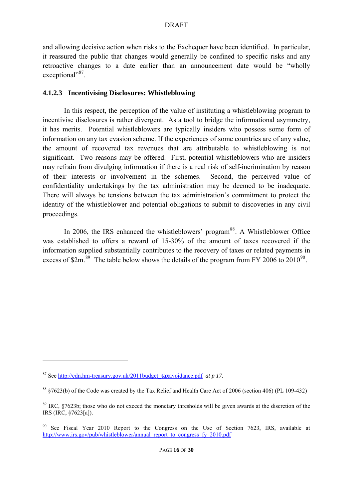and allowing decisive action when risks to the Exchequer have been identified. In particular, it reassured the public that changes would generally be confined to specific risks and any retroactive changes to a date earlier than an announcement date would be "wholly  $exceptional<sup>97</sup>$ .

#### <span id="page-15-0"></span>**4.1.2.3 Incentivising Disclosures: Whistleblowing**

In this respect, the perception of the value of instituting a whistleblowing program to incentivise disclosures is rather divergent. As a tool to bridge the informational asymmetry, it has merits. Potential whistleblowers are typically insiders who possess some form of information on any tax evasion scheme. If the experiences of some countries are of any value, the amount of recovered tax revenues that are attributable to whistleblowing is not significant. Two reasons may be offered. First, potential whistleblowers who are insiders may refrain from divulging information if there is a real risk of self-incrimination by reason of their interests or involvement in the schemes. Second, the perceived value of confidentiality undertakings by the tax administration may be deemed to be inadequate. There will always be tensions between the tax administration's commitment to protect the identity of the whistleblower and potential obligations to submit to discoveries in any civil proceedings.

In 2006, the IRS enhanced the whistleblowers' program<sup>[88](#page-15-2)</sup>. A Whistleblower Office was established to offers a reward of 15-30% of the amount of taxes recovered if the information supplied substantially contributes to the recovery of taxes or related payments in excess of  $2m^{89}$  $2m^{89}$  $2m^{89}$  The table below shows the details of the program from FY 2006 to 2010<sup>[90](#page-15-4)</sup>.

<span id="page-15-1"></span><sup>87</sup> See [http://cdn.hm-treasury.gov.uk/2011budget\\_](http://cdn.hm-treasury.gov.uk/2011budget_taxavoidance.pdf)**tax**avoidance.pdf *at p 17.*

<span id="page-15-2"></span><sup>88 §7623(</sup>b) of the Code was created by the Tax Relief and Health Care Act of 2006 (section 406) (PL 109-432)

<span id="page-15-3"></span><sup>&</sup>lt;sup>89</sup> IRC, §7623b; those who do not exceed the monetary thresholds will be given awards at the discretion of the IRS (IRC, §7623[a]).

<span id="page-15-4"></span><sup>&</sup>lt;sup>90</sup> See Fiscal Year 2010 Report to the Congress on the Use of Section 7623, IRS, available at http://www.irs.gov/pub/whistleblower/annual\_report\_to\_congress\_fy\_2010.pdf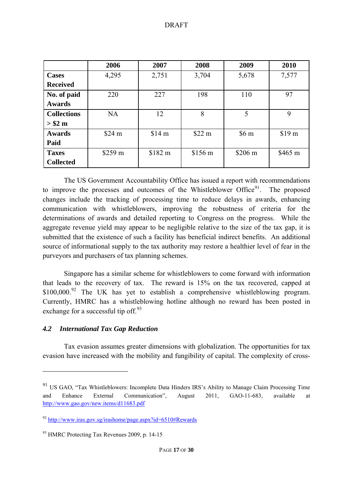|                    | 2006      | 2007    | 2008    | 2009    | 2010              |
|--------------------|-----------|---------|---------|---------|-------------------|
| <b>Cases</b>       | 4,295     | 2,751   | 3,704   | 5,678   | 7,577             |
| <b>Received</b>    |           |         |         |         |                   |
| No. of paid        | 220       | 227     | 198     | 110     | 97                |
| <b>Awards</b>      |           |         |         |         |                   |
| <b>Collections</b> | <b>NA</b> | 12      | 8       | 5       | 9                 |
| > \$2 m            |           |         |         |         |                   |
| <b>Awards</b>      | \$24 m    | \$14 m  | \$22 m  | \$6 m   | \$19 <sub>m</sub> |
| Paid               |           |         |         |         |                   |
| <b>Taxes</b>       | \$259 m   | \$182 m | \$156 m | \$206 m | \$465 m           |
| <b>Collected</b>   |           |         |         |         |                   |

The US Government Accountability Office has issued a report with recommendations to improve the processes and outcomes of the Whistleblower Office<sup>[91](#page-16-1)</sup>. The proposed changes include the tracking of processing time to reduce delays in awards, enhancing communication with whistleblowers, improving the robustness of criteria for the determinations of awards and detailed reporting to Congress on the progress. While the aggregate revenue yield may appear to be negligible relative to the size of the tax gap, it is submitted that the existence of such a facility has beneficial indirect benefits. An additional source of informational supply to the tax authority may restore a healthier level of fear in the purveyors and purchasers of tax planning schemes.

Singapore has a similar scheme for whistleblowers to come forward with information that leads to the recovery of tax. The reward is 15% on the tax recovered, capped at  $$100,000.<sup>92</sup>$  $$100,000.<sup>92</sup>$  $$100,000.<sup>92</sup>$  The UK has yet to establish a comprehensive whistleblowing program. Currently, HMRC has a whistleblowing hotline although no reward has been posted in exchange for a successful tip off.  $93$ 

## *4.2 International Tax Gap Reduction*

1

<span id="page-16-0"></span>Tax evasion assumes greater dimensions with globalization. The opportunities for tax evasion have increased with the mobility and fungibility of capital. The complexity of cross-

<span id="page-16-1"></span><sup>&</sup>lt;sup>91</sup> US GAO, "Tax Whistleblowers: Incomplete Data Hinders IRS's Ability to Manage Claim Processing Time and Enhance External Communication", August 2011, GAO-11-683, available at <http://www.gao.gov/new.items/d11683.pdf>

<span id="page-16-2"></span><sup>&</sup>lt;sup>92</sup> <http://www.iras.gov.sg/irashome/page.aspx?id=6510#Rewards>

<span id="page-16-3"></span><sup>&</sup>lt;sup>93</sup> HMRC Protecting Tax Revenues 2009, p. 14-15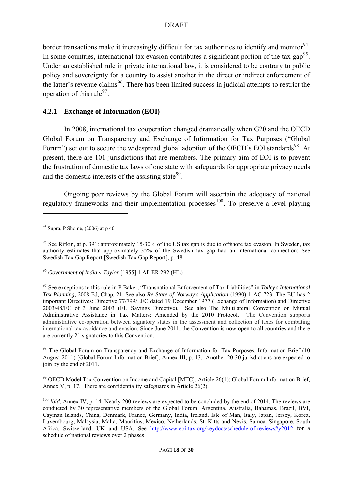border transactions make it increasingly difficult for tax authorities to identify and monitor<sup>[94](#page-17-1)</sup>. In some countries, international tax evasion contributes a significant portion of the tax  $\text{gap}^{95}$  $\text{gap}^{95}$  $\text{gap}^{95}$ . Under an established rule in private international law, it is considered to be contrary to public policy and sovereignty for a country to assist another in the direct or indirect enforcement of the latter's revenue claims<sup>[96](#page-17-3)</sup>. There has been limited success in judicial attempts to restrict the operation of this rule<sup>[97](#page-17-4)</sup>.

## **4.2.1 Exchange of Information (EOI)**

<span id="page-17-0"></span>In 2008, international tax cooperation changed dramatically when G20 and the OECD Global Forum on Transparency and Exchange of Information for Tax Purposes ("Global Forum") set out to secure the widespread global adoption of the OECD's EOI standards<sup>[98](#page-17-5)</sup>. At present, there are 101 jurisdictions that are members. The primary aim of EOI is to prevent the frustration of domestic tax laws of one state with safeguards for appropriate privacy needs and the domestic interests of the assisting state $99$ .

Ongoing peer reviews by the Global Forum will ascertain the adequacy of national regulatory frameworks and their implementation processes<sup>[100](#page-17-7)</sup>. To preserve a level playing

1

<span id="page-17-3"></span><sup>96</sup> *Government of India* v *Taylor* [1955] 1 All ER 292 (HL)

<span id="page-17-4"></span>97 See exceptions to this rule in P Baker, "Transnational Enforcement of Tax Liabilities" in *Tolley's International Tax Planning*, 2008 Ed, Chap. 21. See also *Re State of Norway's Application* (1990) 1 AC 723. The EU has 2 important Directives: Directive 77/799/EEC dated 19 December 1977 (Exchange of Information) and Directive 2003/48/EC of 3 June 2003 (EU Savings Directive). See also The Multilateral Convention on Mutual Administrative Assistance in Tax Matters: Amended by the 2010 Protocol. The Convention supports administrative co-operation between signatory states in the assessment and collection of taxes for combating international tax avoidance and evasion. Since June 2011, the Convention is now open to all countries and there are currently 21 signatories to this Convention.

<span id="page-17-5"></span><sup>98</sup> The Global Forum on Transparency and Exchange of Information for Tax Purposes, Information Brief (10 August 2011) [Global Forum Information Brief], Annex III, p. 13. Another 20-30 jurisdictions are expected to join by the end of 2011.

<span id="page-17-6"></span><sup>99</sup> OECD Model Tax Convention on Income and Capital [MTC], Article 26(1); Global Forum Information Brief, Annex V, p. 17. There are confidentiality safeguards in Article 26(2).

<span id="page-17-1"></span><sup>94</sup> Supra, P Shome, (2006) at p 40

<span id="page-17-2"></span><sup>&</sup>lt;sup>95</sup> See Rifkin, at p. 391: approximately 15-30% of the US tax gap is due to offshore tax evasion. In Sweden, tax authority estimates that approximately 35% of the Swedish tax gap had an international connection: See Swedish Tax Gap Report [Swedish Tax Gap Report], p. 48

<span id="page-17-7"></span><sup>&</sup>lt;sup>100</sup> *Ibid*, Annex IV, p. 14. Nearly 200 reviews are expected to be concluded by the end of 2014. The reviews are conducted by 30 representative members of the Global Forum: Argentina, Australia, Bahamas, Brazil, BVI, Cayman Islands, China, Denmark, France, Germany, India, Ireland, Isle of Man, Italy, Japan, Jersey, Korea, Luxembourg, Malaysia, Malta, Mauritius, Mexico, Netherlands, St. Kitts and Nevis, Samoa, Singapore, South Africa, Switzerland, UK and USA. See <http://www.eoi-tax.org/keydocs/schedule-of-reviews#y2012>for a schedule of national reviews over 2 phases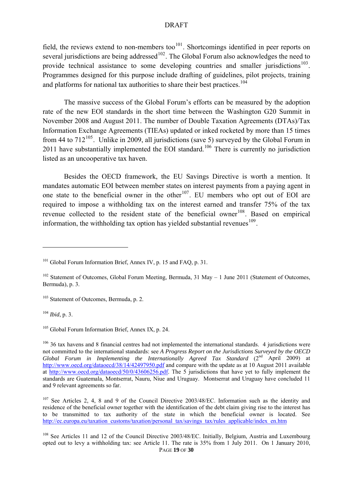field, the reviews extend to non-members too<sup>101</sup>. Shortcomings identified in peer reports on several jurisdictions are being addressed<sup>102</sup>. The Global Forum also acknowledges the need to provide technical assistance to some developing countries and smaller jurisdictions<sup>103</sup>. Programmes designed for this purpose include drafting of guidelines, pilot projects, training and platforms for national tax authorities to share their best practices.<sup>104</sup>

The massive success of the Global Forum's efforts can be measured by the adoption rate of the new EOI standards in the short time between the Washington G20 Summit in November 2008 and August 2011. The number of Double Taxation Agreements (DTAs)/Tax Information Exchange Agreements (TIEAs) updated or inked rocketed by more than 15 times from 44 to  $712^{105}$  $712^{105}$  $712^{105}$ . Unlike in 2009, all jurisdictions (save 5) surveyed by the Global Forum in 2011 have substantially implemented the EOI standard.<sup>[106](#page-18-1)</sup> There is currently no jurisdiction listed as an uncooperative tax haven.

Besides the OECD framework, the EU Savings Directive is worth a mention. It mandates automatic EOI between member states on interest payments from a paying agent in one state to the beneficial owner in the other<sup>[107](#page-18-2)</sup>. EU members who opt out of EOI are required to impose a withholding tax on the interest earned and transfer 75% of the tax revenue collected to the resident state of the beneficial owner<sup>[108](#page-18-3)</sup>. Based on empirical information, the withholding tax option has yielded substantial revenues<sup>[109](#page-18-4)</sup>.

<sup>104</sup> *Ibid*, p. 3.

1

<span id="page-18-0"></span> $105$  Global Forum Information Brief, Annex IX, p. 24.

 $101$  Global Forum Information Brief, Annex IV, p. 15 and FAQ, p. 31.

<span id="page-18-4"></span><sup>&</sup>lt;sup>102</sup> Statement of Outcomes, Global Forum Meeting, Bermuda, 31 May – 1 June 2011 (Statement of Outcomes, Bermuda), p. 3.

<sup>&</sup>lt;sup>103</sup> Statement of Outcomes, Bermuda, p. 2.

<span id="page-18-1"></span><sup>&</sup>lt;sup>106</sup> 36 tax havens and 8 financial centres had not implemented the international standards. 4 jurisdictions were not committed to the international standards: see *A Progress Report on the Jurisdictions Surveyed by the OECD Global Forum in Implementing the Internationally Agreed Tax Standard* (2<sup>nd</sup> April 2009) at <http://www.oecd.org/dataoecd/38/14/42497950.pdf> and compare with the update as at 10 August 2011 available at <http://www.oecd.org/dataoecd/50/0/43606256.pdf>. The 5 jurisdictions that have yet to fully implement the standards are Guatemala, Montserrat, Nauru, Niue and Uruguay. Montserrat and Uruguay have concluded 11 and 9 relevant agreements so far.

<span id="page-18-2"></span><sup>&</sup>lt;sup>107</sup> See Articles 2, 4, 8 and 9 of the Council Directive 2003/48/EC. Information such as the identity and residence of the beneficial owner together with the identification of the debt claim giving rise to the interest has to be transmitted to tax authority of the state in which the beneficial owner is located. See [http://ec.europa.eu/taxation\\_customs/taxation/personal\\_tax/savings\\_tax/rules\\_applicable/index\\_en.htm](http://ec.europa.eu/taxation_customs/taxation/personal_tax/savings_tax/rules_applicable/index_en.htm)

<span id="page-18-3"></span>PAGE **19** OF **30** <sup>108</sup> See Articles 11 and 12 of the Council Directive 2003/48/EC. Initially, Belgium, Austria and Luxembourg opted out to levy a withholding tax: see Article 11. The rate is 35% from 1 July 2011. On 1 January 2010,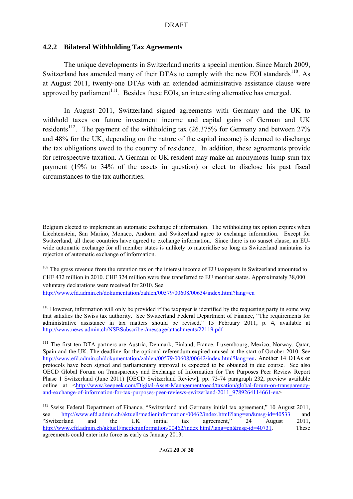## **4.2.2 Bilateral Withholding Tax Agreements**

<u>.</u>

<span id="page-19-0"></span>The unique developments in Switzerland merits a special mention. Since March 2009, Switzerland has amended many of their DTAs to comply with the new EOI standards<sup>[110](#page-19-1)</sup>. As at August 2011, twenty-one DTAs with an extended administrative assistance clause were approved by parliament<sup>[111](#page-19-2)</sup>. Besides these EOIs, an interesting alternative has emerged.

In August 2011, Switzerland signed agreements with Germany and the UK to withhold taxes on future investment income and capital gains of German and UK residents<sup>[112](#page-19-3)</sup>. The payment of the withholding tax  $(26.375\%$  for Germany and between 27% and 48% for the UK, depending on the nature of the capital income) is deemed to discharge the tax obligations owed to the country of residence. In addition, these agreements provide for retrospective taxation. A German or UK resident may make an anonymous lump-sum tax payment (19% to 34% of the assets in question) or elect to disclose his past fiscal circumstances to the tax authorities.

<sup>109</sup> The gross revenue from the retention tax on the interest income of EU taxpayers in Switzerland amounted to CHF 432 million in 2010. CHF 324 million were thus transferred to EU member states. Approximately 38,000 voluntary declarations were received for 2010. See <http://www.efd.admin.ch/dokumentation/zahlen/00579/00608/00634/index.html?lang=en>

<span id="page-19-1"></span><sup>110</sup> However, information will only be provided if the taxpayer is identified by the requesting party in some way that satisfies the Swiss tax authority. See Switzerland Federal Department of Finance, "The requirements for administrative assistance in tax matters should be revised," 15 February 2011, p. 4, available at <http://www.news.admin.ch/NSBSubscriber/message/attachments/22119.pdf>

<span id="page-19-2"></span><sup>111</sup> The first ten DTA partners are Austria, Denmark, Finland, France, Luxembourg, Mexico, Norway, Qatar, Spain and the UK. The deadline for the optional referendum expired unused at the start of October 2010. See [http://www.efd.admin.ch/dokumentation/zahlen/00579/00608/00642/index.html?lang=en.](http://www.efd.admin.ch/dokumentation/zahlen/00579/00608/00642/index.html?lang=en) Another 14 DTAs or protocols have been signed and parliamentary approval is expected to be obtained in due course. See also OECD Global Forum on Transparency and Exchange of Information for Tax Purposes Peer Review Report Phase 1 Switzerland (June 2011) [OECD Switzerland Review], pp. 73-74 paragraph 232, preview available online at <[http://www.keepeek.com/Digital-Asset-Management/oecd/taxation/global-forum-on-transparency](http://www.keepeek.com/Digital-Asset-Management/oecd/taxation/global-forum-on-transparency-and-exchange-of-information-for-tax-purposes-peer-reviews-switzerland-2011_9789264114661-en)[and-exchange-of-information-for-tax-purposes-peer-reviews-switzerland-2011\\_9789264114661-en>](http://www.keepeek.com/Digital-Asset-Management/oecd/taxation/global-forum-on-transparency-and-exchange-of-information-for-tax-purposes-peer-reviews-switzerland-2011_9789264114661-en)

Belgium elected to implement an automatic exchange of information. The withholding tax option expires when Liechtenstein, San Marino, Monaco, Andorra and Switzerland agree to exchange information. Except for Switzerland, all these countries have agreed to exchange information. Since there is no sunset clause, an EUwide automatic exchange for all member states is unlikely to materialise so long as Switzerland maintains its rejection of automatic exchange of information.

<span id="page-19-3"></span><sup>&</sup>lt;sup>112</sup> Swiss Federal Department of Finance, "Switzerland and Germany initial tax agreement," 10 August 2011, see <http://www.efd.admin.ch/aktuell/medieninformation/00462/index.html?lang=en&msg-id=40533>and "Switzerland and the UK initial tax agreement," 24 August 2011, <http://www.efd.admin.ch/aktuell/medieninformation/00462/index.html?lang=en&msg-id=40731>. agreements could enter into force as early as January 2013.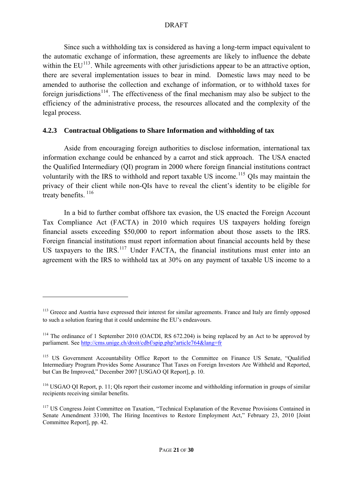Since such a withholding tax is considered as having a long-term impact equivalent to the automatic exchange of information, these agreements are likely to influence the debate within the  $EU^{113}$  $EU^{113}$  $EU^{113}$ . While agreements with other jurisdictions appear to be an attractive option, there are several implementation issues to bear in mind. Domestic laws may need to be amended to authorise the collection and exchange of information, or to withhold taxes for foreign jurisdictions<sup>[114](#page-20-2)</sup>. The effectiveness of the final mechanism may also be subject to the efficiency of the administrative process, the resources allocated and the complexity of the legal process.

## **4.2.3 Contractual Obligations to Share Information and withholding of tax**

<span id="page-20-0"></span>Aside from encouraging foreign authorities to disclose information, international tax information exchange could be enhanced by a carrot and stick approach. The USA enacted the Qualified Intermediary (QI) program in 2000 where foreign financial institutions contract voluntarily with the IRS to withhold and report taxable US income.<sup>[115](#page-20-3)</sup> OIs may maintain the privacy of their client while non-QIs have to reveal the client's identity to be eligible for treaty benefits.<sup>[116](#page-20-4)</sup>

In a bid to further combat offshore tax evasion, the US enacted the Foreign Account Tax Compliance Act (FACTA) in 2010 which requires US taxpayers holding foreign financial assets exceeding \$50,000 to report information about those assets to the IRS. Foreign financial institutions must report information about financial accounts held by these US taxpayers to the IRS.<sup>[117](#page-20-5)</sup> Under FACTA, the financial institutions must enter into an agreement with the IRS to withhold tax at 30% on any payment of taxable US income to a

<span id="page-20-1"></span><sup>&</sup>lt;sup>113</sup> Greece and Austria have expressed their interest for similar agreements. France and Italy are firmly opposed to such a solution fearing that it could undermine the EU's endeavours.

<span id="page-20-2"></span><sup>&</sup>lt;sup>114</sup> The ordinance of 1 September 2010 (OACDI, RS 672.204) is being replaced by an Act to be approved by parliament. See <http://cms.unige.ch/droit/cdbf/spip.php?article764&lang=fr>

<span id="page-20-3"></span><sup>&</sup>lt;sup>115</sup> US Government Accountability Office Report to the Committee on Finance US Senate, "Oualified Intermediary Program Provides Some Assurance That Taxes on Foreign Investors Are Withheld and Reported, but Can Be Improved," December 2007 [USGAO QI Report], p. 10.

<span id="page-20-4"></span><sup>&</sup>lt;sup>116</sup> USGAO QI Report, p. 11; QIs report their customer income and withholding information in groups of similar recipients receiving similar benefits.

<span id="page-20-5"></span><sup>&</sup>lt;sup>117</sup> US Congress Joint Committee on Taxation, "Technical Explanation of the Revenue Provisions Contained in Senate Amendment 33100, The Hiring Incentives to Restore Employment Act," February 23, 2010 [Joint Committee Report], pp. 42.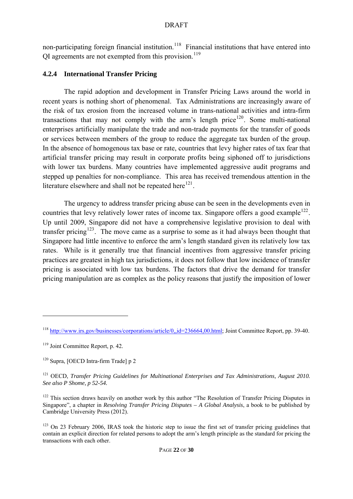non-participating foreign financial institution.<sup>118</sup> Financial institutions that have entered into OI agreements are not exempted from this provision.<sup>119</sup>

## **4.2.4 International Transfer Pricing**

<span id="page-21-0"></span>The rapid adoption and development in Transfer Pricing Laws around the world in recent years is nothing short of phenomenal. Tax Administrations are increasingly aware of the risk of tax erosion from the increased volume in trans-national activities and intra-firm transactions that may not comply with the arm's length price<sup>[120](#page-21-1)</sup>. Some multi-national enterprises artificially manipulate the trade and non-trade payments for the transfer of goods or services between members of the group to reduce the aggregate tax burden of the group. In the absence of homogenous tax base or rate, countries that levy higher rates of tax fear that artificial transfer pricing may result in corporate profits being siphoned off to jurisdictions with lower tax burdens. Many countries have implemented aggressive audit programs and stepped up penalties for non-compliance. This area has received tremendous attention in the literature elsewhere and shall not be repeated here<sup>[121](#page-21-2)</sup>.

The urgency to address transfer pricing abuse can be seen in the developments even in countries that levy relatively lower rates of income tax. Singapore offers a good example<sup>[122](#page-21-3)</sup>. Up until 2009, Singapore did not have a comprehensive legislative provision to deal with transfer pricing<sup>[123](#page-21-4)</sup>. The move came as a surprise to some as it had always been thought that Singapore had little incentive to enforce the arm's length standard given its relatively low tax rates. While is it generally true that financial incentives from aggressive transfer pricing practices are greatest in high tax jurisdictions, it does not follow that low incidence of transfer pricing is associated with low tax burdens. The factors that drive the demand for transfer pricing manipulation are as complex as the policy reasons that justify the imposition of lower

<sup>118</sup> [http://www.irs.gov/businesses/corporations/article/0,,id=236664,00.html;](http://www.irs.gov/businesses/corporations/article/0,,id=236664,00.html) Joint Committee Report, pp. 39-40.

<sup>119</sup> Joint Committee Report, p. 42.

<span id="page-21-1"></span><sup>&</sup>lt;sup>120</sup> Supra, [OECD Intra-firm Trade] p 2

<span id="page-21-2"></span><sup>121</sup> OECD, *Transfer Pricing Guidelines for Multinational Enterprises and Tax Administrations, August 2010. See also P Shome, p 52-54.* 

<span id="page-21-3"></span><sup>&</sup>lt;sup>122</sup> This section draws heavily on another work by this author "The Resolution of Transfer Pricing Disputes in Singapore", a chapter in *Resolving Transfer Pricing Disputes – A Global Analysis*, a book to be published by Cambridge University Press (2012).

<span id="page-21-4"></span><sup>&</sup>lt;sup>123</sup> On 23 February 2006, IRAS took the historic step to issue the first set of transfer pricing guidelines that contain an explicit direction for related persons to adopt the arm's length principle as the standard for pricing the transactions with each other.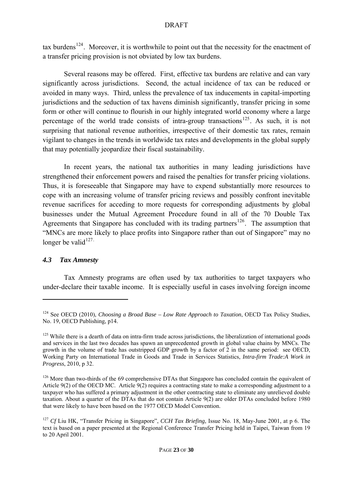tax burdens<sup>124</sup>. Moreover, it is worthwhile to point out that the necessity for the enactment of a transfer pricing provision is not obviated by low tax burdens.

Several reasons may be offered. First, effective tax burdens are relative and can vary significantly across jurisdictions. Second, the actual incidence of tax can be reduced or avoided in many ways. Third, unless the prevalence of tax inducements in capital-importing jurisdictions and the seduction of tax havens diminish significantly, transfer pricing in some form or other will continue to flourish in our highly integrated world economy where a large percentage of the world trade consists of intra-group transactions<sup>[125](#page-22-1)</sup>. As such, it is not surprising that national revenue authorities, irrespective of their domestic tax rates, remain vigilant to changes in the trends in worldwide tax rates and developments in the global supply that may potentially jeopardize their fiscal sustainability.

In recent years, the national tax authorities in many leading jurisdictions have strengthened their enforcement powers and raised the penalties for transfer pricing violations. Thus, it is foreseeable that Singapore may have to expend substantially more resources to cope with an increasing volume of transfer pricing reviews and possibly confront inevitable revenue sacrifices for acceding to more requests for corresponding adjustments by global businesses under the Mutual Agreement Procedure found in all of the 70 Double Tax Agreements that Singapore has concluded with its trading partners<sup>[126](#page-22-2)</sup>. The assumption that "MNCs are more likely to place profits into Singapore rather than out of Singapore" may no longer be valid $127$ .

## *4.3 Tax Amnesty*

1

<span id="page-22-0"></span>Tax Amnesty programs are often used by tax authorities to target taxpayers who under-declare their taxable income. It is especially useful in cases involving foreign income

<sup>124</sup> See OECD (2010), *Choosing a Broad Base – Low Rate Approach to Taxation*, OECD Tax Policy Studies, No. 19, OECD Publishing, p14.

<span id="page-22-1"></span> $125$  While there is a dearth of data on intra-firm trade across jurisdictions, the liberalization of international goods and services in the last two decades has spawn an unprecedented growth in global value chains by MNCs. The growth in the volume of trade has outstripped GDP growth by a factor of 2 in the same period: see OECD, Working Party on International Trade in Goods and Trade in Services Statistics, *Intra-firm Trade:A Work in Progress*, 2010, p 32.

<span id="page-22-2"></span><sup>&</sup>lt;sup>126</sup> More than two-thirds of the 69 comprehensive DTAs that Singapore has concluded contain the equivalent of Article 9(2) of the OECD MC. Article 9(2) requires a contracting state to make a corresponding adjustment to a taxpayer who has suffered a primary adjustment in the other contracting state to eliminate any unrelieved double taxation. About a quarter of the DTAs that do not contain Article 9(2) are older DTAs concluded before 1980 that were likely to have been based on the 1977 OECD Model Convention.

<span id="page-22-3"></span><sup>127</sup> *Cf* Liu HK, "Transfer Pricing in Singapore", *CCH Tax Briefing*, Issue No. 18, May-June 2001, at p 6. The text is based on a paper presented at the Regional Conference Transfer Pricing held in Taipei, Taiwan from 19 to 20 April 2001.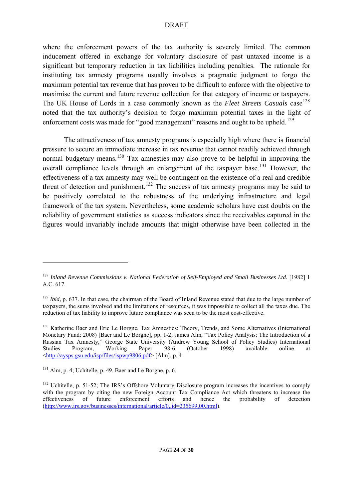where the enforcement powers of the tax authority is severely limited. The common inducement offered in exchange for voluntary disclosure of past untaxed income is a significant but temporary reduction in tax liabilities including penalties. The rationale for instituting tax amnesty programs usually involves a pragmatic judgment to forgo the maximum potential tax revenue that has proven to be difficult to enforce with the objective to maximise the current and future revenue collection for that category of income or taxpayers. The UK House of Lords in a case commonly known as the *Fleet Streets Casuals* case<sup>[128](#page-23-0)</sup> noted that the tax authority's decision to forgo maximum potential taxes in the light of enforcement costs was made for "good management" reasons and ought to be upheld.<sup>[129](#page-23-1)</sup>

The attractiveness of tax amnesty programs is especially high where there is financial pressure to secure an immediate increase in tax revenue that cannot readily achieved through normal budgetary means.<sup>[130](#page-23-2)</sup> Tax amnesties may also prove to be helpful in improving the overall compliance levels through an enlargement of the taxpayer base.<sup>[131](#page-23-3)</sup> However, the effectiveness of a tax amnesty may well be contingent on the existence of a real and credible threat of detection and punishment.<sup>[132](#page-23-4)</sup> The success of tax amnesty programs may be said to be positively correlated to the robustness of the underlying infrastructure and legal framework of the tax system. Nevertheless, some academic scholars have cast doubts on the reliability of government statistics as success indicators since the receivables captured in the figures would invariably include amounts that might otherwise have been collected in the

<span id="page-23-0"></span><sup>128</sup> *Inland Revenue Commissions v. National Federation of Self-Employed and Small Businesses Ltd.* [1982] 1 A.C. 617.

<span id="page-23-1"></span><sup>&</sup>lt;sup>129</sup> *Ibid*, p. 637. In that case, the chairman of the Board of Inland Revenue stated that due to the large number of taxpayers, the sums involved and the limitations of resources, it was impossible to collect all the taxes due. The reduction of tax liability to improve future compliance was seen to be the most cost-effective.

<span id="page-23-2"></span><sup>&</sup>lt;sup>130</sup> Katherine Baer and Eric Le Borgne, Tax Amnesties: Theory, Trends, and Some Alternatives (International Monetary Fund: 2008) [Baer and Le Borgne], pp. 1-2; James Alm, "Tax Policy Analysis: The Introduction of a Russian Tax Amnesty," George State University (Andrew Young School of Policy Studies) International Studies Program, Working Paper 98-6 (October 1998) available online at <<http://aysps.gsu.edu/isp/files/ispwp9806.pdf>> [Alm], p. 4

<span id="page-23-3"></span> $131$  Alm, p. 4; Uchitelle, p. 49. Baer and Le Borgne, p. 6.

<span id="page-23-4"></span><sup>&</sup>lt;sup>132</sup> Uchitelle, p. 51-52; The IRS's Offshore Voluntary Disclosure program increases the incentives to comply with the program by citing the new Foreign Account Tax Compliance Act which threatens to increase the effectiveness of future enforcement efforts and hence the probability of detection [\(http://www.irs.gov/businesses/international/article/0,,id=235699,00.html](http://www.irs.gov/businesses/international/article/0,,id=235699,00.html)).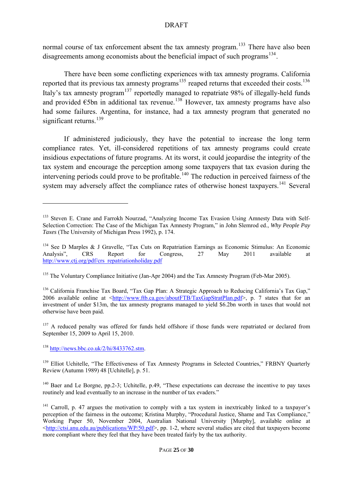normal course of tax enforcement absent the tax amnesty program.<sup>133</sup> There have also been disagreements among economists about the beneficial impact of such programs  $^{134}$ .

There have been some conflicting experiences with tax amnesty programs. California reported that its previous tax amnesty programs<sup>[135](#page-24-0)</sup> reaped returns that exceeded their costs.<sup>[136](#page-24-1)</sup> Italy's tax amnesty program<sup>[137](#page-24-2)</sup> reportedly managed to repatriate 98% of illegally-held funds and provided  $\epsilon$ 5bn in additional tax revenue.<sup>[138](#page-24-3)</sup> However, tax amnesty programs have also had some failures. Argentina, for instance, had a tax amnesty program that generated no significant returns. $139$ 

If administered judiciously, they have the potential to increase the long term compliance rates. Yet, ill-considered repetitions of tax amnesty programs could create insidious expectations of future programs. At its worst, it could jeopardise the integrity of the tax system and encourage the perception among some taxpayers that tax evasion during the intervening periods could prove to be profitable.<sup>[140](#page-24-5)</sup> The reduction in perceived fairness of the system may adversely affect the compliance rates of otherwise honest taxpayers.<sup>[141](#page-24-6)</sup> Several

<span id="page-24-2"></span><sup>137</sup> A reduced penalty was offered for funds held offshore if those funds were repatriated or declared from September 15, 2009 to April 15, 2010.

<span id="page-24-3"></span><sup>138</sup> <http://news.bbc.co.uk/2/hi/8433762.stm>.

<u>.</u>

<span id="page-24-4"></span><sup>139</sup> Elliot Uchitelle, "The Effectiveness of Tax Amnesty Programs in Selected Countries," FRBNY Quarterly Review (Autumn 1989) 48 [Uchitelle], p. 51.

<span id="page-24-5"></span><sup>140</sup> Baer and Le Borgne, pp.2-3; Uchitelle, p.49, "These expectations can decrease the incentive to pay taxes routinely and lead eventually to an increase in the number of tax evaders."

<sup>&</sup>lt;sup>133</sup> Steven E. Crane and Farrokh Nourzad, "Analyzing Income Tax Evasion Using Amnesty Data with Self-Selection Correction: The Case of the Michigan Tax Amnesty Program," in John Slemrod ed., *Why People Pay Taxes* (The University of Michigan Press 1992), p. 174.

<sup>&</sup>lt;sup>134</sup> See D Marples & J Gravelle, "Tax Cuts on Repatriation Earnings as Economic Stimulus: An Economic Analysis", CRS Report for Congress, 27 May 2011 available at [http://www.ctj.org/pdf/crs\\_repatriationholiday.pdf](http://www.ctj.org/pdf/crs_repatriationholiday.pdf)

<span id="page-24-0"></span><sup>&</sup>lt;sup>135</sup> The Voluntary Compliance Initiative (Jan-Apr 2004) and the Tax Amnesty Program (Feb-Mar 2005).

<span id="page-24-1"></span><sup>&</sup>lt;sup>136</sup> California Franchise Tax Board, "Tax Gap Plan: A Strategic Approach to Reducing California's Tax Gap." 2006 available online at  $\frac{\text{th}}{\text{t}}/(\text{www}.ftb.ca.gov/aboutFTB/TaxGapStratPlan.pdf$ , p. 7 states that for an investment of under \$13m, the tax amnesty programs managed to yield \$6.2bn worth in taxes that would not otherwise have been paid.

<span id="page-24-6"></span><sup>&</sup>lt;sup>141</sup> Carroll, p. 47 argues the motivation to comply with a tax system in inextricably linked to a taxpayer's perception of the fairness in the outcome; Kristina Murphy, "Procedural Justice, Shame and Tax Compliance," Working Paper 50, November 2004, Australian National University [Murphy], available online at <<http://ctsi.anu.edu.au/publications/WP/50.pdf>>, pp. 1-2, where several studies are cited that taxpayers become more compliant where they feel that they have been treated fairly by the tax authority.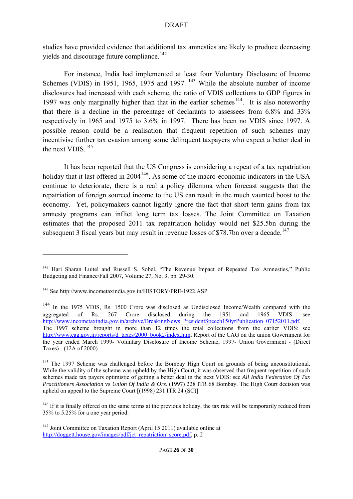studies have provided evidence that additional tax amnesties are likely to produce decreasing yields and discourage future compliance.<sup>[142](#page-25-0)</sup>

For instance, India had implemented at least four Voluntary Disclosure of Income Schemes (VDIS) in 1951, 1965, 1975 and 1997. <sup>[143](#page-25-1)</sup> While the absolute number of income disclosures had increased with each scheme, the ratio of VDIS collections to GDP figures in 1997 was only marginally higher than that in the earlier schemes<sup>[144](#page-25-2)</sup>. It is also noteworthy that there is a decline in the percentage of declarants to assessees from 6.8% and 33% respectively in 1965 and 1975 to 3.6% in 1997. There has been no VDIS since 1997. A possible reason could be a realisation that frequent repetition of such schemes may incentivise further tax evasion among some delinquent taxpayers who expect a better deal in the next VDIS. $145$ 

It has been reported that the US Congress is considering a repeat of a tax repatriation holiday that it last offered in 2004<sup>[146](#page-25-4)</sup>. As some of the macro-economic indicators in the USA continue to deteriorate, there is a real a policy dilemma when forecast suggests that the repatriation of foreign sourced income to the US can result in the much vaunted boost to the economy. Yet, policymakers cannot lightly ignore the fact that short term gains from tax amnesty programs can inflict long term tax losses. The Joint Committee on Taxation estimates that the proposed 2011 tax repatriation holiday would net \$25.5bn during the subsequent 3 fiscal years but may result in revenue losses of \$78.7bn over a decade.<sup>[147](#page-25-5)</sup>

<span id="page-25-0"></span><sup>&</sup>lt;sup>142</sup> Hari Sharan Luitel and Russell S. Sobel, "The Revenue Impact of Repeated Tax Amnesties," Public Budgeting and Finance/Fall 2007, Volume 27, No. 3, pp. 29-30.

<span id="page-25-1"></span><sup>143</sup> See http://www.incometaxindia.gov.in/HISTORY/PRE-1922.ASP

<span id="page-25-2"></span><sup>&</sup>lt;sup>144</sup> In the 1975 VDIS, Rs. 1500 Crore was disclosed as Undisclosed Income/Wealth compared with the aggregated of Rs.  $267$  Crore disclosed during the  $1951$  and  $1965$  VDIS: [http://www.incometaxindia.gov.in/archive/BreakingNews\\_PresidentSpeech150yrPublication\\_07152011.pdf.](http://www.incometaxindia.gov.in/archive/BreakingNews_PresidentSpeech150yrPublication_07152011.pdf) The 1997 scheme brought in more than 12 times the total collections from the earlier VDIS: see [http://www.cag.gov.in/reports/d\\_taxes/2000\\_book2/index.htm](http://www.cag.gov.in/reports/d_taxes/2000_book2/index.htm), Report of the CAG on the union Government for the year ended March 1999- Voluntary Disclosure of Income Scheme, 1997- Union Government - (Direct Taxes) - (12A of 2000)

<span id="page-25-3"></span><sup>&</sup>lt;sup>145</sup> The 1997 Scheme was challenged before the Bombay High Court on grounds of being unconstitutional. While the validity of the scheme was upheld by the High Court, it was observed that frequent repetition of such schemes made tax payers optimistic of getting a better deal in the next VDIS: see *All India Federation Of Tax Practitioners Association* vs *Union Of India & Ors*. (1997) 228 ITR 68 Bombay. The High Court decision was upheld on appeal to the Supreme Court [(1998) 231 ITR 24 (SC)]

<span id="page-25-4"></span> $146$  If it is finally offered on the same terms at the previous holiday, the tax rate will be temporarily reduced from 35% to 5.25% for a one year period.

<span id="page-25-5"></span><sup>&</sup>lt;sup>147</sup> Joint Committee on Taxation Report (April 15 2011) available online at [http://doggett.house.gov/images/pdf/jct\\_repatriation\\_score.pdf](http://doggett.house.gov/images/pdf/jct_repatriation_score.pdf), p. 2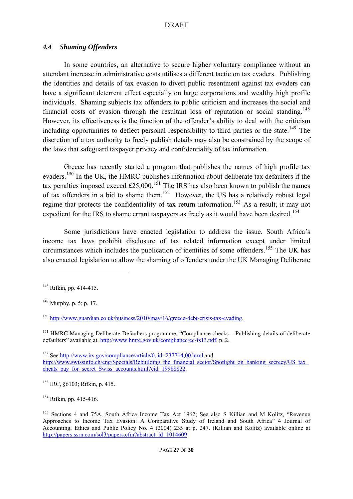## *4.4 Shaming Offenders*

<span id="page-26-0"></span>In some countries, an alternative to secure higher voluntary compliance without an attendant increase in administrative costs utilises a different tactic on tax evaders. Publishing the identities and details of tax evasion to divert public resentment against tax evaders can have a significant deterrent effect especially on large corporations and wealthy high profile individuals. Shaming subjects tax offenders to public criticism and increases the social and financial costs of evasion through the resultant loss of reputation or social standing.<sup>[148](#page-26-1)</sup> However, its effectiveness is the function of the offender's ability to deal with the criticism including opportunities to deflect personal responsibility to third parties or the state.<sup>[149](#page-26-2)</sup> The discretion of a tax authority to freely publish details may also be constrained by the scope of the laws that safeguard taxpayer privacy and confidentiality of tax information.

Greece has recently started a program that publishes the names of high profile tax evaders.<sup>[150](#page-26-3)</sup> In the UK, the HMRC publishes information about deliberate tax defaulters if the tax penalties imposed exceed  $£25,000$ .<sup>[151](#page-26-4)</sup> The IRS has also been known to publish the names of tax offenders in a bid to shame them.<sup>[152](#page-26-5)</sup> However, the US has a relatively robust legal regime that protects the confidentiality of tax return information.<sup>[153](#page-26-6)</sup> As a result, it may not expedient for the IRS to shame errant taxpayers as freely as it would have been desired.<sup>[154](#page-26-7)</sup>

Some jurisdictions have enacted legislation to address the issue. South Africa's income tax laws prohibit disclosure of tax related information except under limited circumstances which includes the publication of identities of some offenders.<sup>[155](#page-26-8)</sup> The UK has also enacted legislation to allow the shaming of offenders under the UK Managing Deliberate

<span id="page-26-1"></span> $148$  Rifkin, pp. 414-415.

<span id="page-26-2"></span> $149$  Murphy, p. 5; p. 17.

<span id="page-26-3"></span><sup>150</sup> <http://www.guardian.co.uk/business/2010/may/16/greece-debt-crisis-tax-evading>.

<span id="page-26-4"></span><sup>&</sup>lt;sup>151</sup> HMRC Managing Deliberate Defaulters programme, "Compliance checks – Publishing details of deliberate defaulters" available at [http://www.hmrc.gov.uk/compliance/cc-fs13.pdf,](http://www.hmrc.gov.uk/compliance/cc-fs13.pdf) p. 2.

<span id="page-26-5"></span><sup>152</sup> See<http://www.irs.gov/compliance/article/0,,id=237714,00.html>and [http://www.swissinfo.ch/eng/Specials/Rebuilding\\_the\\_financial\\_sector/Spotlight\\_on\\_banking\\_secrecy/US\\_tax\\_](http://www.swissinfo.ch/eng/Specials/Rebuilding_the_financial_sector/Spotlight_on_banking_secrecy/US_tax_cheats_pay_for_secret_Swiss_accounts.html?cid=19988822) [cheats\\_pay\\_for\\_secret\\_Swiss\\_accounts.html?cid=19988822.](http://www.swissinfo.ch/eng/Specials/Rebuilding_the_financial_sector/Spotlight_on_banking_secrecy/US_tax_cheats_pay_for_secret_Swiss_accounts.html?cid=19988822)

<span id="page-26-6"></span><sup>153</sup> IRC, §6103; Rifkin, p. 415.

<span id="page-26-7"></span><sup>&</sup>lt;sup>154</sup> Rifkin, pp. 415-416.

<span id="page-26-8"></span><sup>155</sup> Sections 4 and 75A, South Africa Income Tax Act 1962; See also S Killian and M Kolitz, "Revenue Approaches to Income Tax Evasion: A Comparative Study of Ireland and South Africa" 4 Journal of Accounting, Ethics and Public Policy No. 4 (2004) 235 at p. 247. (Killian and Kolitz) available online at [http://papers.ssrn.com/sol3/papers.cfm?abstract\\_id=1014609](http://papers.ssrn.com/sol3/papers.cfm?abstract_id=1014609)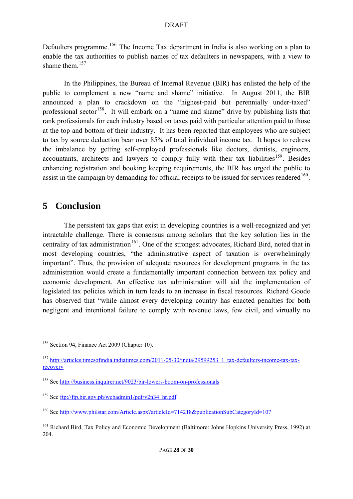Defaulters programme.<sup>[156](#page-27-1)</sup> The Income Tax department in India is also working on a plan to enable the tax authorities to publish names of tax defaulters in newspapers, with a view to shame them.<sup>[157](#page-27-2)</sup>

In the Philippines, the Bureau of Internal Revenue (BIR) has enlisted the help of the public to complement a new "name and shame" initiative. In August 2011, the BIR announced a plan to crackdown on the "highest-paid but perennially under-taxed" professional sector<sup>[158](#page-27-3)</sup>. It will embark on a "name and shame" drive by publishing lists that rank professionals for each industry based on taxes paid with particular attention paid to those at the top and bottom of their industry. It has been reported that employees who are subject to tax by source deduction bear over 85% of total individual income tax. It hopes to redress the imbalance by getting self-employed professionals like doctors, dentists, engineers, accountants, architects and lawyers to comply fully with their tax liabilities<sup>[159](#page-27-4)</sup>. Besides enhancing registration and booking keeping requirements, the BIR has urged the public to assist in the campaign by demanding for official receipts to be issued for services rendered<sup>[160](#page-27-5)</sup>.

## <span id="page-27-0"></span>**5 Conclusion**

1

The persistent tax gaps that exist in developing countries is a well-recognized and yet intractable challenge. There is consensus among scholars that the key solution lies in the centrality of tax administration<sup>[161](#page-27-6)</sup>. One of the strongest advocates, Richard Bird, noted that in most developing countries, "the administrative aspect of taxation is overwhelmingly important". Thus, the provision of adequate resources for development programs in the tax administration would create a fundamentally important connection between tax policy and economic development. An effective tax administration will aid the implementation of legislated tax policies which in turn leads to an increase in fiscal resources. Richard Goode has observed that "while almost every developing country has enacted penalties for both negligent and intentional failure to comply with revenue laws, few civil, and virtually no

<span id="page-27-1"></span><sup>156</sup> Section 94, Finance Act 2009 (Chapter 10).

<span id="page-27-2"></span><sup>&</sup>lt;sup>157</sup> http://articles.timesofindia.indiatimes.com/2011-05-30/india/29599253\_1\_tax-defaulters-income-tax-taxrecovery

<span id="page-27-4"></span><span id="page-27-3"></span><sup>158</sup> See<http://business.inquirer.net/9023/bir-lowers-boom-on-professionals>

<sup>&</sup>lt;sup>159</sup> See ftp://ftp.bir.gov.ph/webadmin1/pdf/v2n34 hr.pdf

<span id="page-27-5"></span><sup>160</sup> See<http://www.philstar.com/Article.aspx?articleId=714218&publicationSubCategoryId=107>

<span id="page-27-6"></span><sup>&</sup>lt;sup>161</sup> Richard Bird, Tax Policy and Economic Development (Baltimore: Johns Hopkins University Press, 1992) at 204.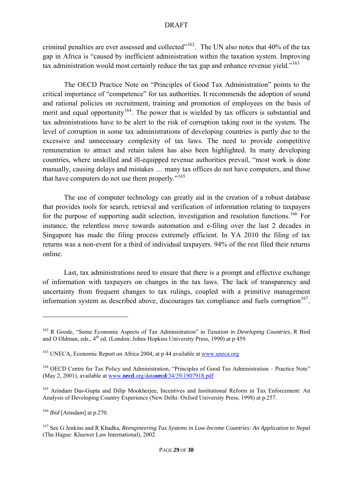criminal penalties are ever assessed and collected"<sup>[162](#page-28-0)</sup>. The UN also notes that 40% of the tax gap in Africa is "caused by inefficient administration within the taxation system. Improving tax administration would most certainly reduce the tax gap and enhance revenue yield."<sup>[163](#page-28-1)</sup>

The OECD Practice Note on "Principles of Good Tax Administration" points to the critical importance of "competence" for tax authorities. It recommends the adoption of sound and rational policies on recruitment, training and promotion of employees on the basis of merit and equal opportunity<sup>[164](#page-28-2)</sup>. The power that is wielded by tax officers is substantial and tax administrations have to be alert to the risk of corruption taking root in the system. The level of corruption in some tax administrations of developing countries is partly due to the excessive and unnecessary complexity of tax laws. The need to provide competitive remuneration to attract and retain talent has also been highlighted. In many developing countries, where unskilled and ill-equipped revenue authorities prevail, "most work is done manually, causing delays and mistakes … many tax offices do not have computers, and those that have computers do not use them properly."[165](#page-28-3)

The use of computer technology can greatly aid in the creation of a robust database that provides tools for search, retrieval and verification of information relating to taxpayers for the purpose of supporting audit selection, investigation and resolution functions.<sup>[166](#page-28-4)</sup> For instance, the relentless move towards automation and e-filing over the last 2 decades in Singapore has made the filing process extremely efficient. In YA 2010 the filing of tax returns was a non-event for a third of individual taxpayers. 94% of the rest filed their returns online.

Last, tax administrations need to ensure that there is a prompt and effective exchange of information with taxpayers on changes in the tax laws. The lack of transparency and uncertainty from frequent changes to tax rulings, coupled with a primitive management information system as described above, discourages tax compliance and fuels corruption<sup>[167](#page-28-5)</sup>.

<u>.</u>

<span id="page-28-0"></span><sup>162</sup> R Goode, "Some Economic Aspects of Tax Administration" in *Taxation in Developing Countries*, R Bird and O Oldman, eds.,  $4<sup>th</sup>$  ed. (London: Johns Hopkins University Press, 1990) at p 459.

<span id="page-28-1"></span><sup>&</sup>lt;sup>163</sup> UNECA, Economic Report on Africa 2004, at p 44 available at [www.uneca.org](http://www.uneca.org/)

<span id="page-28-2"></span><sup>&</sup>lt;sup>164</sup> OECD Centre for Tax Policy and Administration, "Principles of Good Tax Administration – Practice Note" (May 2, 2001), available at www.**oecd**.org/data**oecd**[/34/39/1907918.pdf](http://www.oecd.org/dataoecd/34/39/1907918.pdf)

<span id="page-28-3"></span><sup>165</sup> Arindam Das-Gupta and Dilip Mookherjee, Incentives and Institutional Reform in Tax Enforcement: An Analysis of Developing Country Experience (New Delhi: Oxford University Press, 1998) at p.257.

<span id="page-28-4"></span><sup>166</sup> *Ibid* [Arindam] at p.270.

<span id="page-28-5"></span><sup>167</sup> See G Jenkins and R Khadka, *Reengineering Tax Systems in Low-Income Countries: An Application to Nepal* (The Hague: Kluewer Law International), 2002.